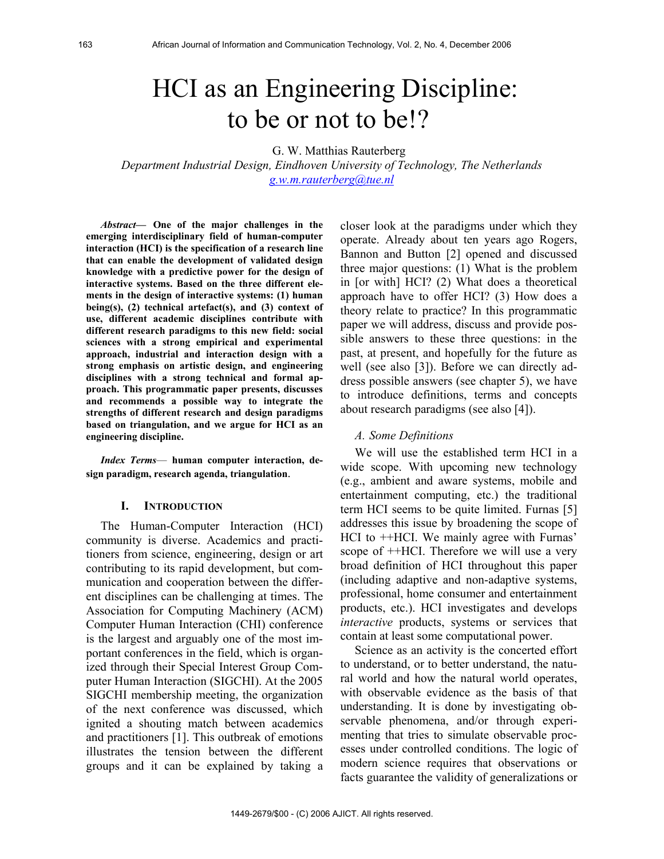# HCI as an Engineering Discipline: to be or not to be!?

G. W. Matthias Rauterberg

*Department Industrial Design, Eindhoven University of Technology, The Netherlands g.w.m.rauterberg@tue.nl*

*Abstract***— One of the major challenges in the emerging interdisciplinary field of human-computer interaction (HCI) is the specification of a research line that can enable the development of validated design knowledge with a predictive power for the design of interactive systems. Based on the three different elements in the design of interactive systems: (1) human being(s), (2) technical artefact(s), and (3) context of use, different academic disciplines contribute with different research paradigms to this new field: social sciences with a strong empirical and experimental approach, industrial and interaction design with a strong emphasis on artistic design, and engineering disciplines with a strong technical and formal approach. This programmatic paper presents, discusses and recommends a possible way to integrate the strengths of different research and design paradigms based on triangulation, and we argue for HCI as an engineering discipline.**

*Index Terms*— **human computer interaction, design paradigm, research agenda, triangulation**.

#### **I. INTRODUCTION**

The Human-Computer Interaction (HCI) community is diverse. Academics and practitioners from science, engineering, design or art contributing to its rapid development, but communication and cooperation between the different disciplines can be challenging at times. The Association for Computing Machinery (ACM) Computer Human Interaction (CHI) conference is the largest and arguably one of the most important conferences in the field, which is organized through their Special Interest Group Computer Human Interaction (SIGCHI). At the 2005 SIGCHI membership meeting, the organization of the next conference was discussed, which ignited a shouting match between academics and practitioners [1]. This outbreak of emotions illustrates the tension between the different groups and it can be explained by taking a

closer look at the paradigms under which they operate. Already about ten years ago Rogers, Bannon and Button [2] opened and discussed three major questions: (1) What is the problem in [or with] HCI? (2) What does a theoretical approach have to offer HCI? (3) How does a theory relate to practice? In this programmatic paper we will address, discuss and provide possible answers to these three questions: in the past, at present, and hopefully for the future as well (see also [3]). Before we can directly address possible answers (see chapter 5), we have to introduce definitions, terms and concepts about research paradigms (see also [4]).

#### *A. Some Definitions*

We will use the established term HCI in a wide scope. With upcoming new technology (e.g., ambient and aware systems, mobile and entertainment computing, etc.) the traditional term HCI seems to be quite limited. Furnas [5] addresses this issue by broadening the scope of HCI to ++HCI. We mainly agree with Furnas' scope of ++HCI. Therefore we will use a very broad definition of HCI throughout this paper (including adaptive and non-adaptive systems, professional, home consumer and entertainment products, etc.). HCI investigates and develops *interactive* products, systems or services that contain at least some computational power.

Science as an activity is the concerted effort to understand, or to better understand, the natural world and how the natural world operates, with observable evidence as the basis of that understanding. It is done by investigating observable phenomena, and/or through experimenting that tries to simulate observable processes under controlled conditions. The logic of modern science requires that observations or facts guarantee the validity of generalizations or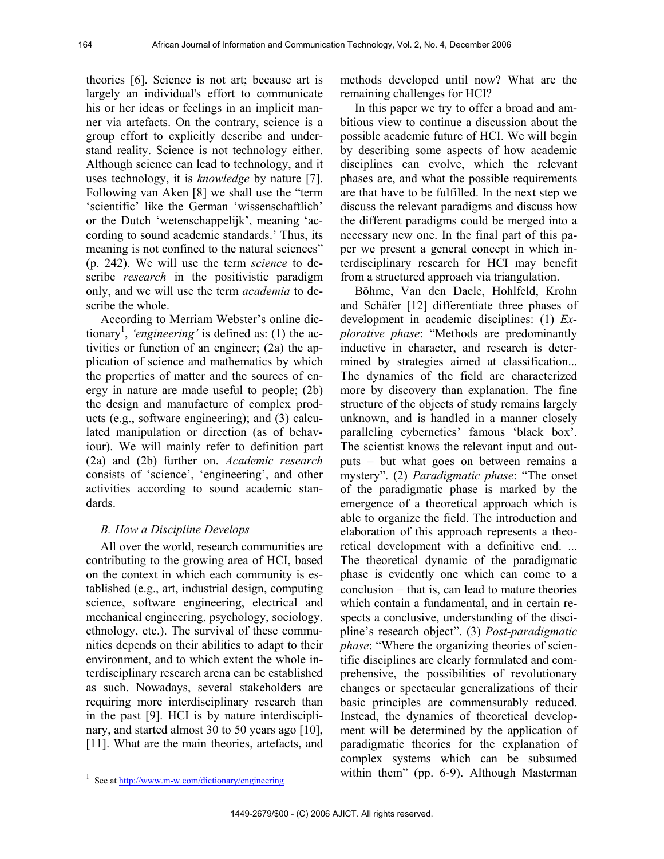theories [6]. Science is not art; because art is largely an individual's effort to communicate his or her ideas or feelings in an implicit manner via artefacts. On the contrary, science is a group effort to explicitly describe and understand reality. Science is not technology either. Although science can lead to technology, and it uses technology, it is *knowledge* by nature [7]. Following van Aken [8] we shall use the "term 'scientific' like the German 'wissenschaftlich' or the Dutch 'wetenschappelijk', meaning 'according to sound academic standards.' Thus, its meaning is not confined to the natural sciences" (p. 242). We will use the term *science* to describe *research* in the positivistic paradigm only, and we will use the term *academia* to describe the whole.

According to Merriam Webster's online dictionary1 , *'engineering'* is defined as: (1) the activities or function of an engineer; (2a) the application of science and mathematics by which the properties of matter and the sources of energy in nature are made useful to people; (2b) the design and manufacture of complex products (e.g., software engineering); and (3) calculated manipulation or direction (as of behaviour). We will mainly refer to definition part (2a) and (2b) further on. *Academic research* consists of 'science', 'engineering', and other activities according to sound academic standards.

## *B. How a Discipline Develops*

All over the world, research communities are contributing to the growing area of HCI, based on the context in which each community is established (e.g., art, industrial design, computing science, software engineering, electrical and mechanical engineering, psychology, sociology, ethnology, etc.). The survival of these communities depends on their abilities to adapt to their environment, and to which extent the whole interdisciplinary research arena can be established as such. Nowadays, several stakeholders are requiring more interdisciplinary research than in the past [9]. HCI is by nature interdisciplinary, and started almost 30 to 50 years ago [10], [11]. What are the main theories, artefacts, and

methods developed until now? What are the remaining challenges for HCI?

In this paper we try to offer a broad and ambitious view to continue a discussion about the possible academic future of HCI. We will begin by describing some aspects of how academic disciplines can evolve, which the relevant phases are, and what the possible requirements are that have to be fulfilled. In the next step we discuss the relevant paradigms and discuss how the different paradigms could be merged into a necessary new one. In the final part of this paper we present a general concept in which interdisciplinary research for HCI may benefit from a structured approach via triangulation.

Böhme, Van den Daele, Hohlfeld, Krohn and Schäfer [12] differentiate three phases of development in academic disciplines: (1) *Explorative phase*: "Methods are predominantly inductive in character, and research is determined by strategies aimed at classification... The dynamics of the field are characterized more by discovery than explanation. The fine structure of the objects of study remains largely unknown, and is handled in a manner closely paralleling cybernetics' famous 'black box'. The scientist knows the relevant input and outputs − but what goes on between remains a mystery". (2) *Paradigmatic phase*: "The onset of the paradigmatic phase is marked by the emergence of a theoretical approach which is able to organize the field. The introduction and elaboration of this approach represents a theoretical development with a definitive end. ... The theoretical dynamic of the paradigmatic phase is evidently one which can come to a conclusion − that is, can lead to mature theories which contain a fundamental, and in certain respects a conclusive, understanding of the discipline's research object". (3) *Post-paradigmatic phase*: "Where the organizing theories of scientific disciplines are clearly formulated and comprehensive, the possibilities of revolutionary changes or spectacular generalizations of their basic principles are commensurably reduced. Instead, the dynamics of theoretical development will be determined by the application of paradigmatic theories for the explanation of complex systems which can be subsumed within them" (pp. 6-9). Although Masterman

<sup>&</sup>lt;sup>1</sup> See at <u>http://www.m-w.com/dictionary/engineering</u>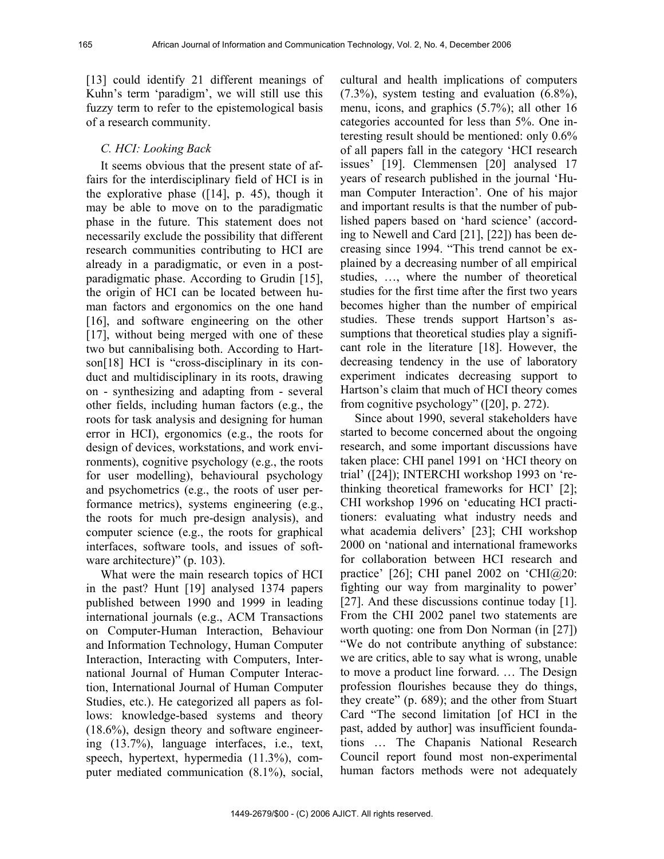[13] could identify 21 different meanings of Kuhn's term 'paradigm', we will still use this fuzzy term to refer to the epistemological basis of a research community.

# *C. HCI: Looking Back*

It seems obvious that the present state of affairs for the interdisciplinary field of HCI is in the explorative phase  $(14)$ , p. 45), though it may be able to move on to the paradigmatic phase in the future. This statement does not necessarily exclude the possibility that different research communities contributing to HCI are already in a paradigmatic, or even in a postparadigmatic phase. According to Grudin [15], the origin of HCI can be located between human factors and ergonomics on the one hand [16], and software engineering on the other [17], without being merged with one of these two but cannibalising both. According to Hartson[18] HCI is "cross-disciplinary in its conduct and multidisciplinary in its roots, drawing on - synthesizing and adapting from - several other fields, including human factors (e.g., the roots for task analysis and designing for human error in HCI), ergonomics (e.g., the roots for design of devices, workstations, and work environments), cognitive psychology (e.g., the roots for user modelling), behavioural psychology and psychometrics (e.g., the roots of user performance metrics), systems engineering (e.g., the roots for much pre-design analysis), and computer science (e.g., the roots for graphical interfaces, software tools, and issues of software architecture)" (p. 103).

What were the main research topics of HCI in the past? Hunt [19] analysed 1374 papers published between 1990 and 1999 in leading international journals (e.g., ACM Transactions on Computer-Human Interaction, Behaviour and Information Technology, Human Computer Interaction, Interacting with Computers, International Journal of Human Computer Interaction, International Journal of Human Computer Studies, etc.). He categorized all papers as follows: knowledge-based systems and theory (18.6%), design theory and software engineering (13.7%), language interfaces, i.e., text, speech, hypertext, hypermedia (11.3%), computer mediated communication (8.1%), social,

cultural and health implications of computers  $(7.3\%)$ , system testing and evaluation  $(6.8\%)$ , menu, icons, and graphics (5.7%); all other 16 categories accounted for less than 5%. One interesting result should be mentioned: only 0.6% of all papers fall in the category 'HCI research issues' [19]. Clemmensen [20] analysed 17 years of research published in the journal 'Human Computer Interaction'. One of his major and important results is that the number of published papers based on 'hard science' (according to Newell and Card [21], [22]) has been decreasing since 1994. "This trend cannot be explained by a decreasing number of all empirical studies, …, where the number of theoretical studies for the first time after the first two years becomes higher than the number of empirical studies. These trends support Hartson's assumptions that theoretical studies play a significant role in the literature [18]. However, the decreasing tendency in the use of laboratory experiment indicates decreasing support to Hartson's claim that much of HCI theory comes from cognitive psychology" ([20], p. 272).

Since about 1990, several stakeholders have started to become concerned about the ongoing research, and some important discussions have taken place: CHI panel 1991 on 'HCI theory on trial' ([24]); INTERCHI workshop 1993 on 'rethinking theoretical frameworks for HCI' [2]; CHI workshop 1996 on 'educating HCI practitioners: evaluating what industry needs and what academia delivers' [23]; CHI workshop 2000 on 'national and international frameworks for collaboration between HCI research and practice' [26]; CHI panel 2002 on 'CHI $(a)$ 20: fighting our way from marginality to power' [27]. And these discussions continue today [1]. From the CHI 2002 panel two statements are worth quoting: one from Don Norman (in [27]) "We do not contribute anything of substance: we are critics, able to say what is wrong, unable to move a product line forward. … The Design profession flourishes because they do things, they create" (p. 689); and the other from Stuart Card "The second limitation [of HCI in the past, added by author] was insufficient foundations … The Chapanis National Research Council report found most non-experimental human factors methods were not adequately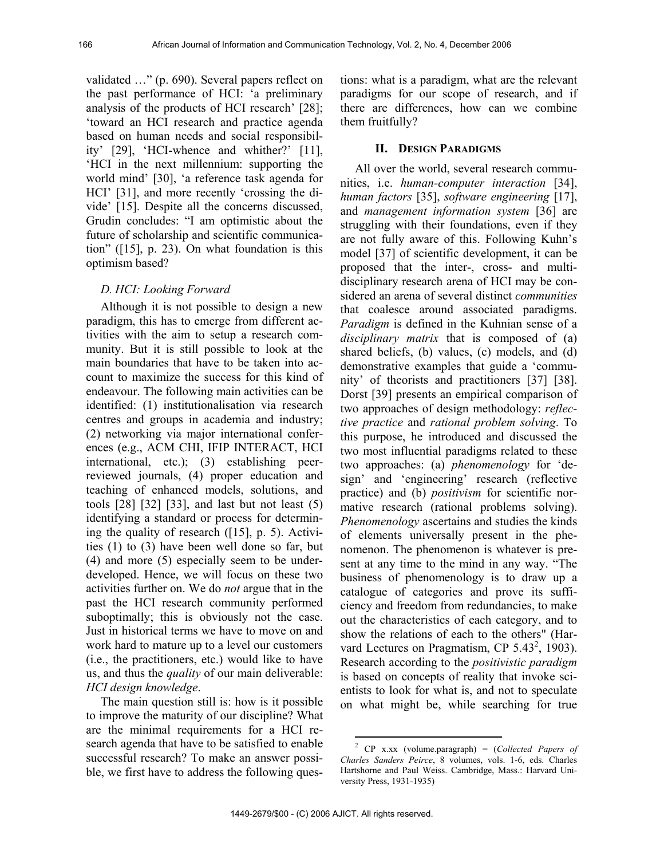validated …" (p. 690). Several papers reflect on the past performance of HCI: 'a preliminary analysis of the products of HCI research' [28]; 'toward an HCI research and practice agenda based on human needs and social responsibility' [29], 'HCI-whence and whither?' [11], 'HCI in the next millennium: supporting the world mind' [30], 'a reference task agenda for HCI' [31], and more recently 'crossing the divide' [15]. Despite all the concerns discussed, Grudin concludes: "I am optimistic about the future of scholarship and scientific communication" ([15], p. 23). On what foundation is this optimism based?

#### *D. HCI: Looking Forward*

Although it is not possible to design a new paradigm, this has to emerge from different activities with the aim to setup a research community. But it is still possible to look at the main boundaries that have to be taken into account to maximize the success for this kind of endeavour. The following main activities can be identified: (1) institutionalisation via research centres and groups in academia and industry; (2) networking via major international conferences (e.g., ACM CHI, IFIP INTERACT, HCI international, etc.); (3) establishing peerreviewed journals, (4) proper education and teaching of enhanced models, solutions, and tools  $\begin{bmatrix} 28 \\ 132 \end{bmatrix}$   $\begin{bmatrix} 33 \\ 33 \end{bmatrix}$ , and last but not least  $\begin{bmatrix} 5 \end{bmatrix}$ identifying a standard or process for determining the quality of research ([15], p. 5). Activities (1) to (3) have been well done so far, but (4) and more (5) especially seem to be underdeveloped. Hence, we will focus on these two activities further on. We do *not* argue that in the past the HCI research community performed suboptimally; this is obviously not the case. Just in historical terms we have to move on and work hard to mature up to a level our customers (i.e., the practitioners, etc.) would like to have us, and thus the *quality* of our main deliverable: *HCI design knowledge*.

The main question still is: how is it possible to improve the maturity of our discipline? What are the minimal requirements for a HCI research agenda that have to be satisfied to enable successful research? To make an answer possible, we first have to address the following questions: what is a paradigm, what are the relevant paradigms for our scope of research, and if there are differences, how can we combine them fruitfully?

#### **II. DESIGN PARADIGMS**

All over the world, several research communities, i.e. *human-computer interaction* [34], *human factors* [35], *software engineering* [17], and *management information system* [36] are struggling with their foundations, even if they are not fully aware of this. Following Kuhn's model [37] of scientific development, it can be proposed that the inter-, cross- and multidisciplinary research arena of HCI may be considered an arena of several distinct *communities* that coalesce around associated paradigms. *Paradigm* is defined in the Kuhnian sense of a *disciplinary matrix* that is composed of (a) shared beliefs, (b) values, (c) models, and (d) demonstrative examples that guide a 'community' of theorists and practitioners [37] [38]. Dorst [39] presents an empirical comparison of two approaches of design methodology: *reflective practice* and *rational problem solving*. To this purpose, he introduced and discussed the two most influential paradigms related to these two approaches: (a) *phenomenology* for 'design' and 'engineering' research (reflective practice) and (b) *positivism* for scientific normative research (rational problems solving). *Phenomenology* ascertains and studies the kinds of elements universally present in the phenomenon. The phenomenon is whatever is present at any time to the mind in any way. "The business of phenomenology is to draw up a catalogue of categories and prove its sufficiency and freedom from redundancies, to make out the characteristics of each category, and to show the relations of each to the others" (Harvard Lectures on Pragmatism, CP  $5.43^2$ , 1903). Research according to the *positivistic paradigm* is based on concepts of reality that invoke scientists to look for what is, and not to speculate on what might be, while searching for true

-

<sup>2</sup> CP x.xx (volume.paragraph) = (*Collected Papers of Charles Sanders Peirce*, 8 volumes, vols. 1-6, eds. Charles Hartshorne and Paul Weiss. Cambridge, Mass.: Harvard University Press, 1931-1935)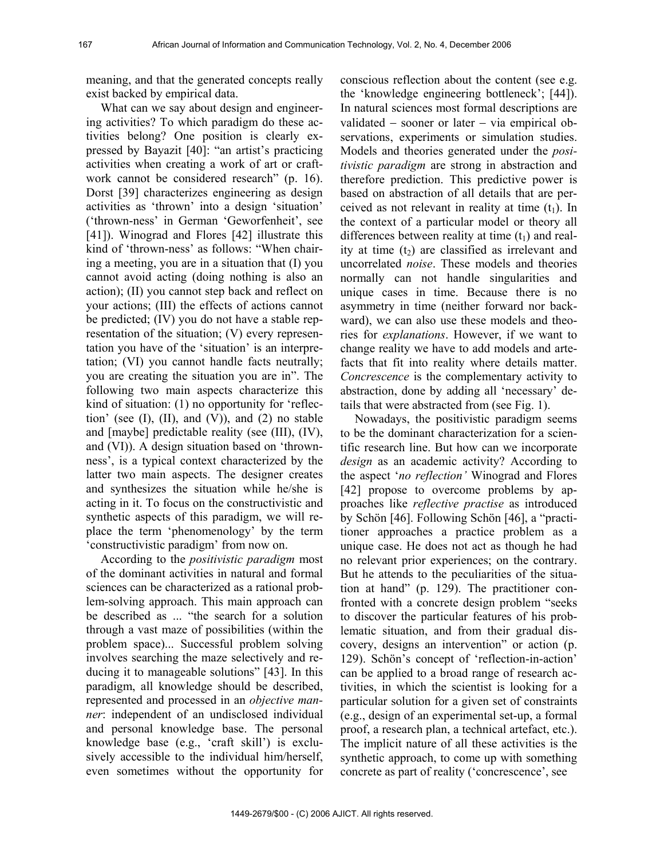meaning, and that the generated concepts really exist backed by empirical data.

What can we say about design and engineering activities? To which paradigm do these activities belong? One position is clearly expressed by Bayazit [40]: "an artist's practicing activities when creating a work of art or craftwork cannot be considered research" (p. 16). Dorst [39] characterizes engineering as design activities as 'thrown' into a design 'situation' ('thrown-ness' in German 'Geworfenheit', see [41]). Winograd and Flores [42] illustrate this kind of 'thrown-ness' as follows: "When chairing a meeting, you are in a situation that (I) you cannot avoid acting (doing nothing is also an action); (II) you cannot step back and reflect on your actions; (III) the effects of actions cannot be predicted; (IV) you do not have a stable representation of the situation; (V) every representation you have of the 'situation' is an interpretation; (VI) you cannot handle facts neutrally; you are creating the situation you are in". The following two main aspects characterize this kind of situation: (1) no opportunity for 'reflection' (see  $(I)$ ,  $(II)$ , and  $(V)$ ), and  $(2)$  no stable and [maybe] predictable reality (see (III), (IV), and (VI)). A design situation based on 'thrownness', is a typical context characterized by the latter two main aspects. The designer creates and synthesizes the situation while he/she is acting in it. To focus on the constructivistic and synthetic aspects of this paradigm, we will replace the term 'phenomenology' by the term 'constructivistic paradigm' from now on.

According to the *positivistic paradigm* most of the dominant activities in natural and formal sciences can be characterized as a rational problem-solving approach. This main approach can be described as ... "the search for a solution through a vast maze of possibilities (within the problem space)... Successful problem solving involves searching the maze selectively and reducing it to manageable solutions" [43]. In this paradigm, all knowledge should be described, represented and processed in an *objective manner*: independent of an undisclosed individual and personal knowledge base. The personal knowledge base (e.g., 'craft skill') is exclusively accessible to the individual him/herself, even sometimes without the opportunity for

conscious reflection about the content (see e.g. the 'knowledge engineering bottleneck'; [44]). In natural sciences most formal descriptions are validated − sooner or later − via empirical observations, experiments or simulation studies. Models and theories generated under the *positivistic paradigm* are strong in abstraction and therefore prediction. This predictive power is based on abstraction of all details that are perceived as not relevant in reality at time  $(t_1)$ . In the context of a particular model or theory all differences between reality at time  $(t_1)$  and reality at time  $(t_2)$  are classified as irrelevant and uncorrelated *noise*. These models and theories normally can not handle singularities and unique cases in time. Because there is no asymmetry in time (neither forward nor backward), we can also use these models and theories for *explanations*. However, if we want to change reality we have to add models and artefacts that fit into reality where details matter. *Concrescence* is the complementary activity to abstraction, done by adding all 'necessary' details that were abstracted from (see Fig. 1).

Nowadays, the positivistic paradigm seems to be the dominant characterization for a scientific research line. But how can we incorporate *design* as an academic activity? According to the aspect '*no reflection'* Winograd and Flores [42] propose to overcome problems by approaches like *reflective practise* as introduced by Schön [46]. Following Schön [46], a "practitioner approaches a practice problem as a unique case. He does not act as though he had no relevant prior experiences; on the contrary. But he attends to the peculiarities of the situation at hand" (p. 129). The practitioner confronted with a concrete design problem "seeks to discover the particular features of his problematic situation, and from their gradual discovery, designs an intervention" or action (p. 129). Schön's concept of 'reflection-in-action' can be applied to a broad range of research activities, in which the scientist is looking for a particular solution for a given set of constraints (e.g., design of an experimental set-up, a formal proof, a research plan, a technical artefact, etc.). The implicit nature of all these activities is the synthetic approach, to come up with something concrete as part of reality ('concrescence', see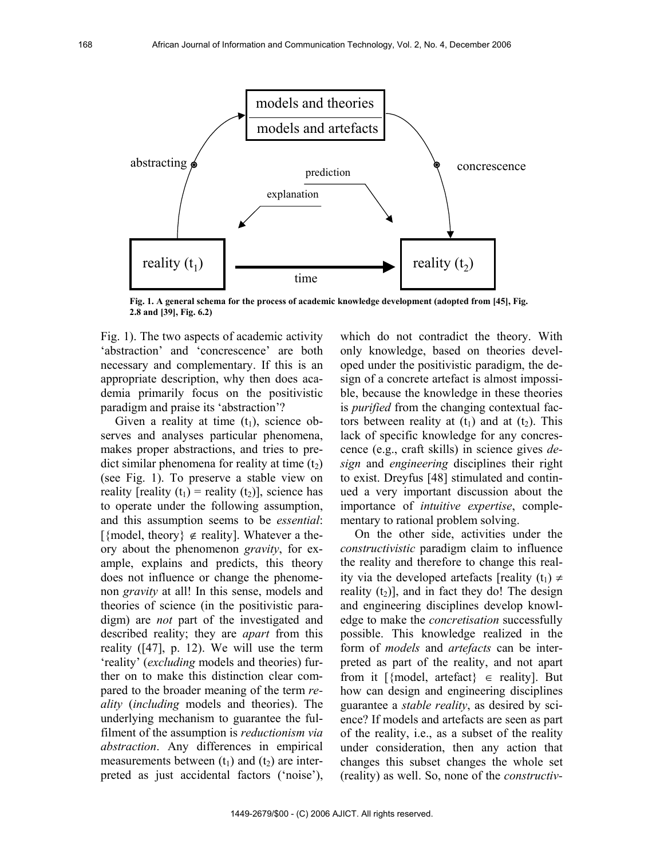

**Fig. 1. A general schema for the process of academic knowledge development (adopted from [45], Fig. 2.8 and [39], Fig. 6.2)** 

Fig. 1). The two aspects of academic activity 'abstraction' and 'concrescence' are both necessary and complementary. If this is an appropriate description, why then does academia primarily focus on the positivistic paradigm and praise its 'abstraction'?

Given a reality at time  $(t_1)$ , science observes and analyses particular phenomena, makes proper abstractions, and tries to predict similar phenomena for reality at time  $(t_2)$ (see Fig. 1). To preserve a stable view on reality [reality (t<sub>1</sub>) = reality (t<sub>2</sub>)], science has to operate under the following assumption, and this assumption seems to be *essential*:  $[\{model, theory\} \notin reality]$ . Whatever a theory about the phenomenon *gravity*, for example, explains and predicts, this theory does not influence or change the phenomenon *gravity* at all! In this sense, models and theories of science (in the positivistic paradigm) are *not* part of the investigated and described reality; they are *apart* from this reality ([47], p. 12). We will use the term 'reality' (*excluding* models and theories) further on to make this distinction clear compared to the broader meaning of the term *reality* (*including* models and theories). The underlying mechanism to guarantee the fulfilment of the assumption is *reductionism via abstraction*. Any differences in empirical measurements between  $(t_1)$  and  $(t_2)$  are interpreted as just accidental factors ('noise'),

which do not contradict the theory. With only knowledge, based on theories developed under the positivistic paradigm, the design of a concrete artefact is almost impossible, because the knowledge in these theories is *purified* from the changing contextual factors between reality at  $(t_1)$  and at  $(t_2)$ . This lack of specific knowledge for any concrescence (e.g., craft skills) in science gives *design* and *engineering* disciplines their right to exist. Dreyfus [48] stimulated and continued a very important discussion about the importance of *intuitive expertise*, complementary to rational problem solving.

On the other side, activities under the *constructivistic* paradigm claim to influence the reality and therefore to change this reality via the developed artefacts [reality  $(t_1) \neq$ reality  $(t_2)$ , and in fact they do! The design and engineering disciplines develop knowledge to make the *concretisation* successfully possible. This knowledge realized in the form of *models* and *artefacts* can be interpreted as part of the reality, and not apart from it [{model, artefact}  $\in$  reality]. But how can design and engineering disciplines guarantee a *stable reality*, as desired by science? If models and artefacts are seen as part of the reality, i.e., as a subset of the reality under consideration, then any action that changes this subset changes the whole set (reality) as well. So, none of the *constructiv-*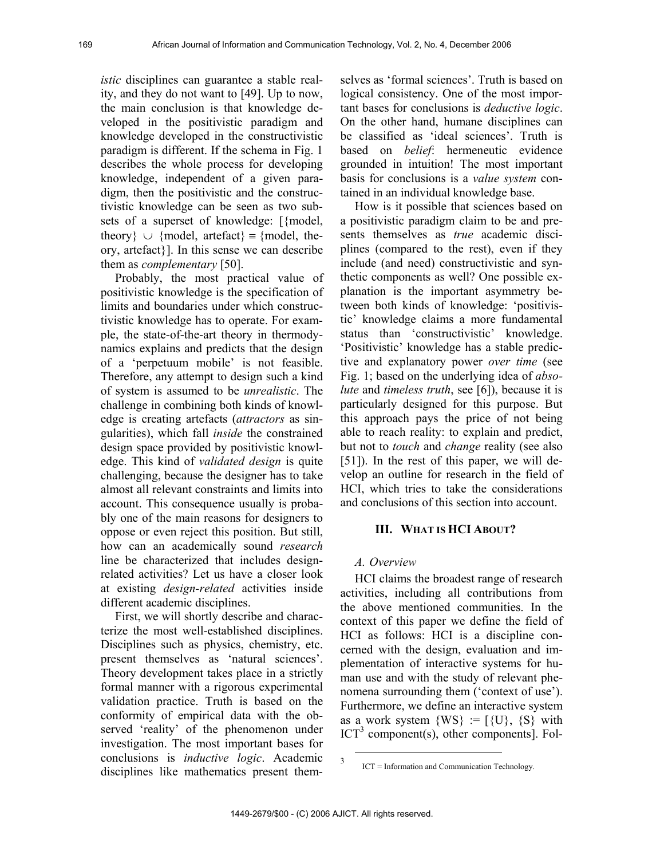*istic* disciplines can guarantee a stable reality, and they do not want to [49]. Up to now, the main conclusion is that knowledge developed in the positivistic paradigm and knowledge developed in the constructivistic paradigm is different. If the schema in Fig. 1 describes the whole process for developing knowledge, independent of a given paradigm, then the positivistic and the constructivistic knowledge can be seen as two subsets of a superset of knowledge: [{model, theory  $\cup$  {model, artefact} = {model, theory, artefact}]. In this sense we can describe them as *complementary* [50].

Probably, the most practical value of positivistic knowledge is the specification of limits and boundaries under which constructivistic knowledge has to operate. For example, the state-of-the-art theory in thermodynamics explains and predicts that the design of a 'perpetuum mobile' is not feasible. Therefore, any attempt to design such a kind of system is assumed to be *unrealistic*. The challenge in combining both kinds of knowledge is creating artefacts (*attractors* as singularities), which fall *inside* the constrained design space provided by positivistic knowledge. This kind of *validated design* is quite challenging, because the designer has to take almost all relevant constraints and limits into account. This consequence usually is probably one of the main reasons for designers to oppose or even reject this position. But still, how can an academically sound *research* line be characterized that includes designrelated activities? Let us have a closer look at existing *design-related* activities inside different academic disciplines.

First, we will shortly describe and characterize the most well-established disciplines. Disciplines such as physics, chemistry, etc. present themselves as 'natural sciences'. Theory development takes place in a strictly formal manner with a rigorous experimental validation practice. Truth is based on the conformity of empirical data with the observed 'reality' of the phenomenon under investigation. The most important bases for conclusions is *inductive logic*. Academic disciplines like mathematics present themselves as 'formal sciences'. Truth is based on logical consistency. One of the most important bases for conclusions is *deductive logic*. On the other hand, humane disciplines can be classified as 'ideal sciences'. Truth is based on *belief*: hermeneutic evidence grounded in intuition! The most important basis for conclusions is a *value system* contained in an individual knowledge base.

How is it possible that sciences based on a positivistic paradigm claim to be and presents themselves as *true* academic disciplines (compared to the rest), even if they include (and need) constructivistic and synthetic components as well? One possible explanation is the important asymmetry between both kinds of knowledge: 'positivistic' knowledge claims a more fundamental status than 'constructivistic' knowledge. 'Positivistic' knowledge has a stable predictive and explanatory power *over time* (see Fig. 1; based on the underlying idea of *absolute* and *timeless truth*, see [6]), because it is particularly designed for this purpose. But this approach pays the price of not being able to reach reality: to explain and predict, but not to *touch* and *change* reality (see also [51]). In the rest of this paper, we will develop an outline for research in the field of HCI, which tries to take the considerations and conclusions of this section into account.

#### **III. WHAT IS HCI ABOUT?**

#### *A. Overview*

HCI claims the broadest range of research activities, including all contributions from the above mentioned communities. In the context of this paper we define the field of HCI as follows: HCI is a discipline concerned with the design, evaluation and implementation of interactive systems for human use and with the study of relevant phenomena surrounding them ('context of use'). Furthermore, we define an interactive system as a work system  $\{WS\} := [\{U\}, \{S\} \text{ with }$ ICT<sup>3</sup> component(s), other components]. Fol-

 <sup>3</sup> ICT = Information and Communication Technology.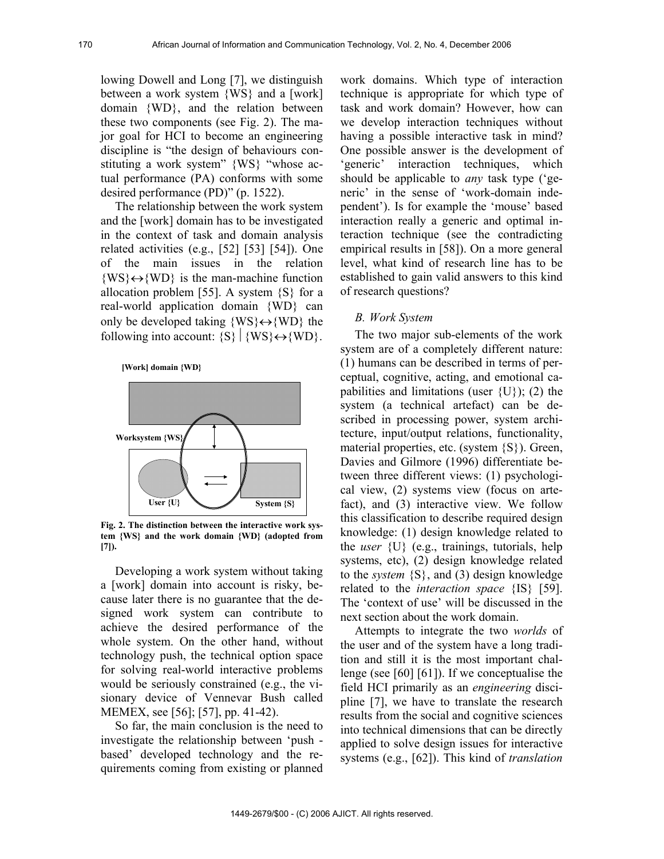lowing Dowell and Long [7], we distinguish between a work system {WS} and a [work] domain {WD}, and the relation between these two components (see Fig. 2). The major goal for HCI to become an engineering discipline is "the design of behaviours constituting a work system" {WS} "whose actual performance (PA) conforms with some desired performance (PD)" (p. 1522).

The relationship between the work system and the [work] domain has to be investigated in the context of task and domain analysis related activities (e.g., [52] [53] [54]). One of the main issues in the relation  $\{WS\} \leftrightarrow \{WD\}$  is the man-machine function allocation problem [55]. A system  $\{S\}$  for a real-world application domain {WD} can only be developed taking  $\{WS\} \leftrightarrow \{WD\}$  the following into account:  $\{S\}$  {WS} $\leftrightarrow$ {WD}.

**[Work] domain {WD}**



**Fig. 2. The distinction between the interactive work system {WS} and the work domain {WD} (adopted from [7]).** 

Developing a work system without taking a [work] domain into account is risky, because later there is no guarantee that the designed work system can contribute to achieve the desired performance of the whole system. On the other hand, without technology push, the technical option space for solving real-world interactive problems would be seriously constrained (e.g., the visionary device of Vennevar Bush called MEMEX, see [56]; [57], pp. 41-42).

So far, the main conclusion is the need to investigate the relationship between 'push based' developed technology and the requirements coming from existing or planned work domains. Which type of interaction technique is appropriate for which type of task and work domain? However, how can we develop interaction techniques without having a possible interactive task in mind? One possible answer is the development of 'generic' interaction techniques, which should be applicable to *any* task type ('generic' in the sense of 'work-domain independent'). Is for example the 'mouse' based interaction really a generic and optimal interaction technique (see the contradicting empirical results in [58]). On a more general level, what kind of research line has to be established to gain valid answers to this kind of research questions?

#### *B. Work System*

The two major sub-elements of the work system are of a completely different nature: (1) humans can be described in terms of perceptual, cognitive, acting, and emotional capabilities and limitations (user  ${U}$ ); (2) the system (a technical artefact) can be described in processing power, system architecture, input/output relations, functionality, material properties, etc. (system {S}). Green, Davies and Gilmore (1996) differentiate between three different views: (1) psychological view, (2) systems view (focus on artefact), and (3) interactive view. We follow this classification to describe required design knowledge: (1) design knowledge related to the *user* {U} (e.g., trainings, tutorials, help systems, etc), (2) design knowledge related to the *system* {S}, and (3) design knowledge related to the *interaction space* {IS} [59]. The 'context of use' will be discussed in the next section about the work domain.

Attempts to integrate the two *worlds* of the user and of the system have a long tradition and still it is the most important challenge (see [60] [61]). If we conceptualise the field HCI primarily as an *engineering* discipline [7], we have to translate the research results from the social and cognitive sciences into technical dimensions that can be directly applied to solve design issues for interactive systems (e.g., [62]). This kind of *translation*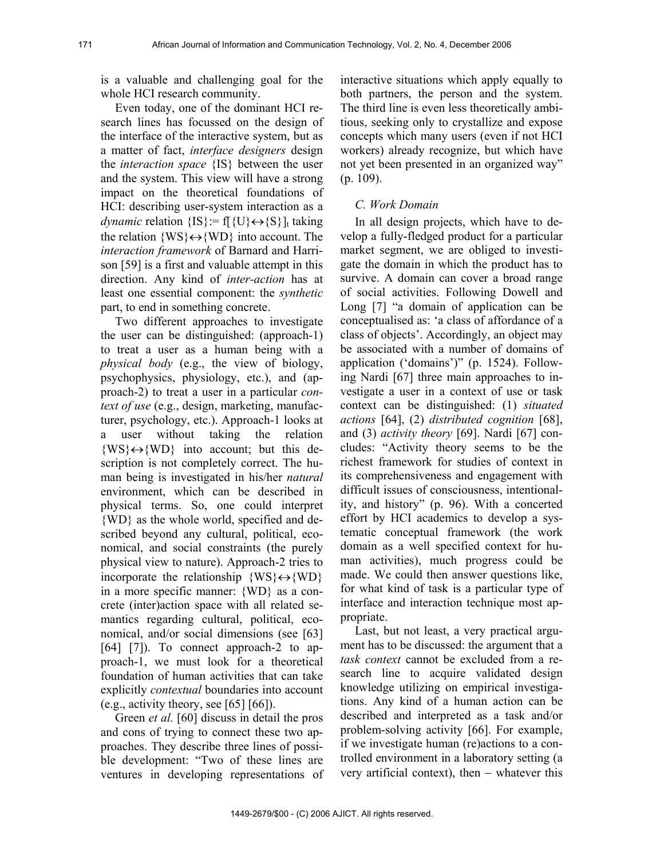is a valuable and challenging goal for the whole HCI research community.

Even today, one of the dominant HCI research lines has focussed on the design of the interface of the interactive system, but as a matter of fact, *interface designers* design the *interaction space* {IS} between the user and the system. This view will have a strong impact on the theoretical foundations of HCI: describing user-system interaction as a *dynamic* relation  ${IS} := f[{U} \leftrightarrow {S}]$ <sub>t</sub> taking the relation  $\{WS\} \leftrightarrow \{WD\}$  into account. The *interaction framework* of Barnard and Harrison [59] is a first and valuable attempt in this direction. Any kind of *inter-action* has at least one essential component: the *synthetic* part, to end in something concrete.

Two different approaches to investigate the user can be distinguished: (approach-1) to treat a user as a human being with a *physical body* (e.g., the view of biology, psychophysics, physiology, etc.), and (approach-2) to treat a user in a particular *context of use* (e.g., design, marketing, manufacturer, psychology, etc.). Approach-1 looks at a user without taking the relation  $\{WS\} \leftrightarrow \{WD\}$  into account; but this description is not completely correct. The human being is investigated in his/her *natural* environment, which can be described in physical terms. So, one could interpret {WD} as the whole world, specified and described beyond any cultural, political, economical, and social constraints (the purely physical view to nature). Approach-2 tries to incorporate the relationship  $\{WS\} \leftrightarrow \{WD\}$ in a more specific manner: {WD} as a concrete (inter)action space with all related semantics regarding cultural, political, economical, and/or social dimensions (see [63] [64] [7]). To connect approach-2 to approach-1, we must look for a theoretical foundation of human activities that can take explicitly *contextual* boundaries into account (e.g., activity theory, see [65] [66]).

Green *et al.* [60] discuss in detail the pros and cons of trying to connect these two approaches. They describe three lines of possible development: "Two of these lines are ventures in developing representations of

interactive situations which apply equally to both partners, the person and the system. The third line is even less theoretically ambitious, seeking only to crystallize and expose concepts which many users (even if not HCI workers) already recognize, but which have not yet been presented in an organized way" (p. 109).

## *C. Work Domain*

In all design projects, which have to develop a fully-fledged product for a particular market segment, we are obliged to investigate the domain in which the product has to survive. A domain can cover a broad range of social activities. Following Dowell and Long [7] "a domain of application can be conceptualised as: 'a class of affordance of a class of objects'. Accordingly, an object may be associated with a number of domains of application ('domains')" (p. 1524). Following Nardi [67] three main approaches to investigate a user in a context of use or task context can be distinguished: (1) *situated actions* [64], (2) *distributed cognition* [68], and (3) *activity theory* [69]. Nardi [67] concludes: "Activity theory seems to be the richest framework for studies of context in its comprehensiveness and engagement with difficult issues of consciousness, intentionality, and history" (p. 96). With a concerted effort by HCI academics to develop a systematic conceptual framework (the work domain as a well specified context for human activities), much progress could be made. We could then answer questions like, for what kind of task is a particular type of interface and interaction technique most appropriate.

Last, but not least, a very practical argument has to be discussed: the argument that a *task context* cannot be excluded from a research line to acquire validated design knowledge utilizing on empirical investigations. Any kind of a human action can be described and interpreted as a task and/or problem-solving activity [66]. For example, if we investigate human (re)actions to a controlled environment in a laboratory setting (a very artificial context), then − whatever this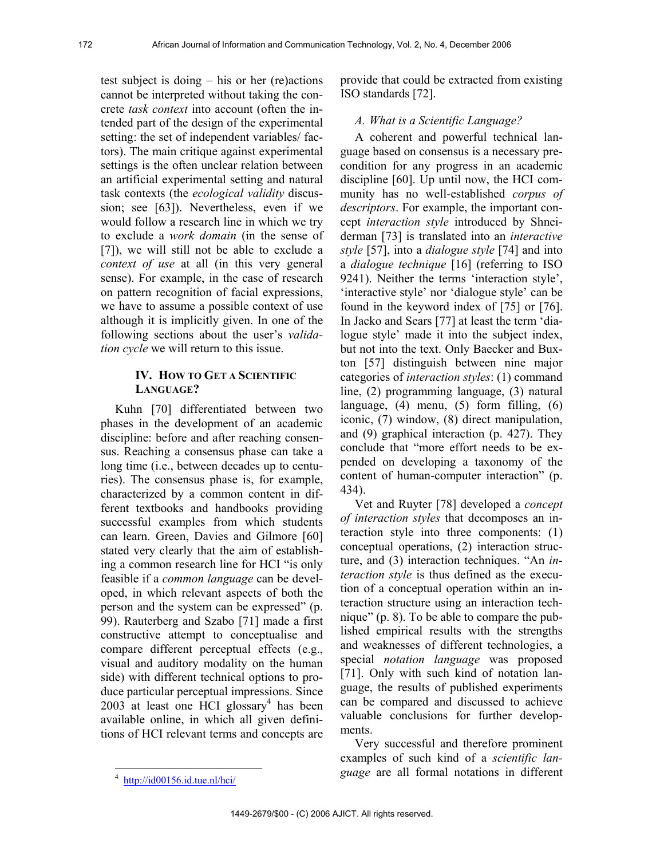test subject is doing − his or her (re)actions cannot be interpreted without taking the concrete *task context* into account (often the intended part of the design of the experimental setting: the set of independent variables/ factors). The main critique against experimental settings is the often unclear relation between an artificial experimental setting and natural task contexts (the *ecological validity* discussion; see [63]). Nevertheless, even if we would follow a research line in which we try to exclude a *work domain* (in the sense of [7]), we will still not be able to exclude a *context of use* at all (in this very general sense). For example, in the case of research on pattern recognition of facial expressions, we have to assume a possible context of use although it is implicitly given. In one of the following sections about the user's *validation cycle* we will return to this issue.

## **IV. HOW TO GET A SCIENTIFIC LANGUAGE?**

Kuhn [70] differentiated between two phases in the development of an academic discipline: before and after reaching consensus. Reaching a consensus phase can take a long time (i.e., between decades up to centuries). The consensus phase is, for example, characterized by a common content in different textbooks and handbooks providing successful examples from which students can learn. Green, Davies and Gilmore [60] stated very clearly that the aim of establishing a common research line for HCI "is only feasible if a *common language* can be developed, in which relevant aspects of both the person and the system can be expressed" (p. 99). Rauterberg and Szabo [71] made a first constructive attempt to conceptualise and compare different perceptual effects (e.g., visual and auditory modality on the human side) with different technical options to produce particular perceptual impressions. Since  $2003$  at least one HCI glossary<sup>4</sup> has been available online, in which all given definitions of HCI relevant terms and concepts are

provide that could be extracted from existing ISO standards [72].

#### *A. What is a Scientific Language?*

A coherent and powerful technical language based on consensus is a necessary precondition for any progress in an academic discipline [60]. Up until now, the HCI community has no well-established *corpus of descriptors*. For example, the important concept *interaction style* introduced by Shneiderman [73] is translated into an *interactive style* [57], into a *dialogue style* [74] and into a *dialogue technique* [16] (referring to ISO 9241). Neither the terms 'interaction style', 'interactive style' nor 'dialogue style' can be found in the keyword index of [75] or [76]. In Jacko and Sears [77] at least the term 'dialogue style' made it into the subject index, but not into the text. Only Baecker and Buxton [57] distinguish between nine major categories of *interaction styles*: (1) command line, (2) programming language, (3) natural language, (4) menu, (5) form filling, (6) iconic, (7) window, (8) direct manipulation, and (9) graphical interaction (p. 427). They conclude that "more effort needs to be expended on developing a taxonomy of the content of human-computer interaction" (p. 434).

Vet and Ruyter [78] developed a *concept of interaction styles* that decomposes an interaction style into three components: (1) conceptual operations, (2) interaction structure, and (3) interaction techniques. "An *interaction style* is thus defined as the execution of a conceptual operation within an interaction structure using an interaction technique" (p. 8). To be able to compare the published empirical results with the strengths and weaknesses of different technologies, a special *notation language* was proposed [71]. Only with such kind of notation language, the results of published experiments can be compared and discussed to achieve valuable conclusions for further developments.

Very successful and therefore prominent examples of such kind of a *scientific language* are all formal notations in different

 $\overline{a}$ 

<sup>4</sup> http://id00156.id.tue.nl/hci/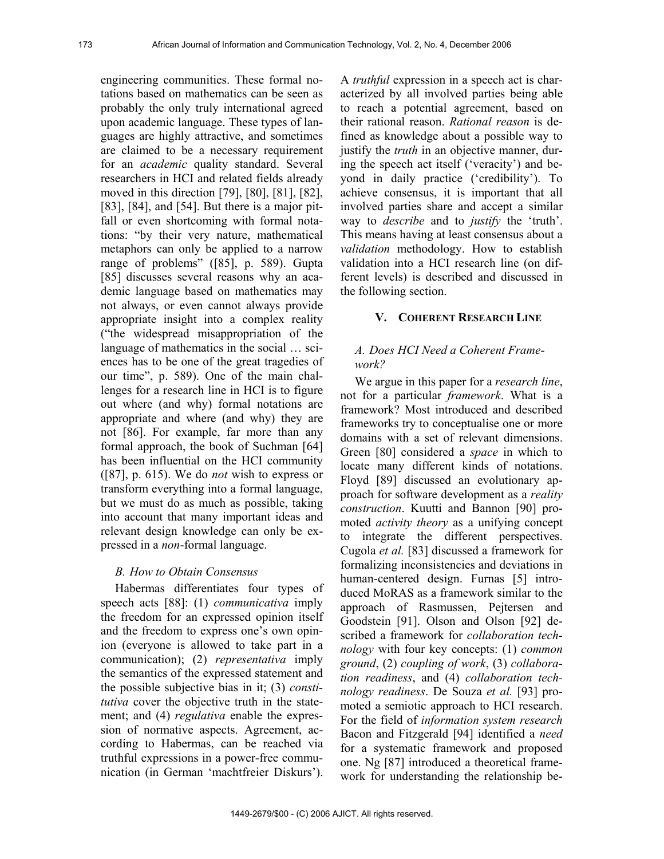engineering communities. These formal notations based on mathematics can be seen as probably the only truly international agreed upon academic language. These types of languages are highly attractive, and sometimes are claimed to be a necessary requirement for an *academic* quality standard. Several researchers in HCI and related fields already moved in this direction [79], [80], [81], [82], [83], [84], and [54]. But there is a major pitfall or even shortcoming with formal notations: "by their very nature, mathematical metaphors can only be applied to a narrow range of problems" ([85], p. 589). Gupta [85] discusses several reasons why an academic language based on mathematics may not always, or even cannot always provide appropriate insight into a complex reality ("the widespread misappropriation of the language of mathematics in the social … sciences has to be one of the great tragedies of our time", p. 589). One of the main challenges for a research line in HCI is to figure out where (and why) formal notations are appropriate and where (and why) they are not [86]. For example, far more than any formal approach, the book of Suchman [64] has been influential on the HCI community ([87], p. 615). We do *not* wish to express or transform everything into a formal language, but we must do as much as possible, taking into account that many important ideas and relevant design knowledge can only be expressed in a *non*-formal language.

#### *B. How to Obtain Consensus*

Habermas differentiates four types of speech acts [88]: (1) *communicativa* imply the freedom for an expressed opinion itself and the freedom to express one's own opinion (everyone is allowed to take part in a communication); (2) *representativa* imply the semantics of the expressed statement and the possible subjective bias in it; (3) *constitutiva* cover the objective truth in the statement; and (4) *regulativa* enable the expression of normative aspects. Agreement, according to Habermas, can be reached via truthful expressions in a power-free communication (in German 'machtfreier Diskurs').

A *truthful* expression in a speech act is characterized by all involved parties being able to reach a potential agreement, based on their rational reason. *Rational reason* is defined as knowledge about a possible way to justify the *truth* in an objective manner, during the speech act itself ('veracity') and beyond in daily practice ('credibility'). To achieve consensus, it is important that all involved parties share and accept a similar way to *describe* and to *justify* the 'truth'. This means having at least consensus about a *validation* methodology. How to establish validation into a HCI research line (on different levels) is described and discussed in the following section.

#### **V. COHERENT RESEARCH LINE**

# *A. Does HCI Need a Coherent Framework?*

We argue in this paper for a *research line*, not for a particular *framework*. What is a framework? Most introduced and described frameworks try to conceptualise one or more domains with a set of relevant dimensions. Green [80] considered a *space* in which to locate many different kinds of notations. Floyd [89] discussed an evolutionary approach for software development as a *reality construction*. Kuutti and Bannon [90] promoted *activity theory* as a unifying concept to integrate the different perspectives. Cugola *et al.* [83] discussed a framework for formalizing inconsistencies and deviations in human-centered design. Furnas [5] introduced MoRAS as a framework similar to the approach of Rasmussen, Pejtersen and Goodstein [91]. Olson and Olson [92] described a framework for *collaboration technology* with four key concepts: (1) *common ground*, (2) *coupling of work*, (3) *collaboration readiness*, and (4) *collaboration technology readiness*. De Souza *et al.* [93] promoted a semiotic approach to HCI research. For the field of *information system research* Bacon and Fitzgerald [94] identified a *need* for a systematic framework and proposed one. Ng [87] introduced a theoretical framework for understanding the relationship be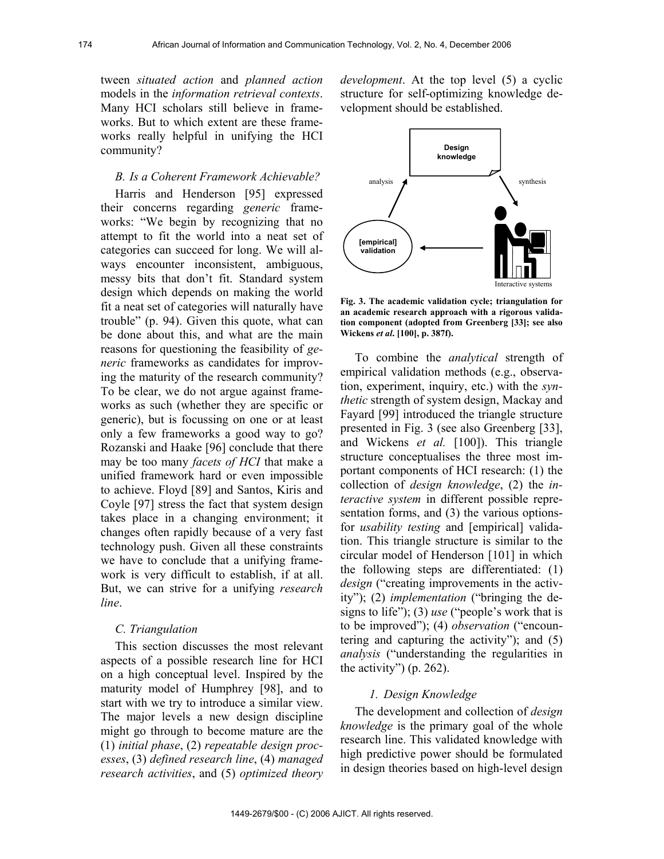tween *situated action* and *planned action* models in the *information retrieval contexts*. Many HCI scholars still believe in frameworks. But to which extent are these frameworks really helpful in unifying the HCI community?

## *B. Is a Coherent Framework Achievable?*

Harris and Henderson [95] expressed their concerns regarding *generic* frameworks: "We begin by recognizing that no attempt to fit the world into a neat set of categories can succeed for long. We will always encounter inconsistent, ambiguous, messy bits that don't fit. Standard system design which depends on making the world fit a neat set of categories will naturally have trouble" (p. 94). Given this quote, what can be done about this, and what are the main reasons for questioning the feasibility of *generic* frameworks as candidates for improving the maturity of the research community? To be clear, we do not argue against frameworks as such (whether they are specific or generic), but is focussing on one or at least only a few frameworks a good way to go? Rozanski and Haake [96] conclude that there may be too many *facets of HCI* that make a unified framework hard or even impossible to achieve. Floyd [89] and Santos, Kiris and Coyle [97] stress the fact that system design takes place in a changing environment; it changes often rapidly because of a very fast technology push. Given all these constraints we have to conclude that a unifying framework is very difficult to establish, if at all. But, we can strive for a unifying *research line*.

## *C. Triangulation*

This section discusses the most relevant aspects of a possible research line for HCI on a high conceptual level. Inspired by the maturity model of Humphrey [98], and to start with we try to introduce a similar view. The major levels a new design discipline might go through to become mature are the (1) *initial phase*, (2) *repeatable design processes*, (3) *defined research line*, (4) *managed research activities*, and (5) *optimized theory*  *development*. At the top level (5) a cyclic structure for self-optimizing knowledge development should be established.



**Fig. 3. The academic validation cycle; triangulation for an academic research approach with a rigorous validation component (adopted from Greenberg [33]; see also Wickens** *et al***. [100], p. 387f).** 

To combine the *analytical* strength of empirical validation methods (e.g., observation, experiment, inquiry, etc.) with the *synthetic* strength of system design, Mackay and Fayard [99] introduced the triangle structure presented in Fig. 3 (see also Greenberg [33], and Wickens *et al.* [100]). This triangle structure conceptualises the three most important components of HCI research: (1) the collection of *design knowledge*, (2) the *interactive system* in different possible representation forms, and (3) the various optionsfor *usability testing* and [empirical] validation. This triangle structure is similar to the circular model of Henderson [101] in which the following steps are differentiated: (1) *design* ("creating improvements in the activity"); (2) *implementation* ("bringing the designs to life"); (3) *use* ("people's work that is to be improved"); (4) *observation* ("encountering and capturing the activity"); and (5) *analysis* ("understanding the regularities in the activity") (p. 262).

#### *1. Design Knowledge*

The development and collection of *design knowledge* is the primary goal of the whole research line. This validated knowledge with high predictive power should be formulated in design theories based on high-level design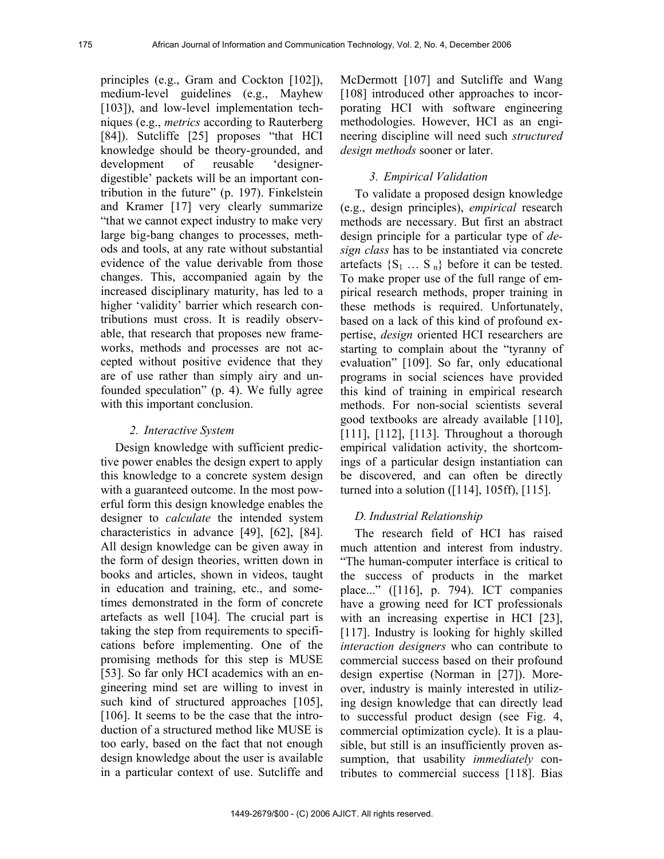principles (e.g., Gram and Cockton [102]), medium-level guidelines (e.g., Mayhew [103]), and low-level implementation techniques (e.g., *metrics* according to Rauterberg [84]). Sutcliffe [25] proposes "that HCI knowledge should be theory-grounded, and development of reusable 'designerdigestible' packets will be an important contribution in the future" (p. 197). Finkelstein and Kramer [17] very clearly summarize "that we cannot expect industry to make very large big-bang changes to processes, methods and tools, at any rate without substantial evidence of the value derivable from those changes. This, accompanied again by the increased disciplinary maturity, has led to a higher 'validity' barrier which research contributions must cross. It is readily observable, that research that proposes new frameworks, methods and processes are not accepted without positive evidence that they are of use rather than simply airy and unfounded speculation" (p. 4). We fully agree with this important conclusion.

## *2. Interactive System*

Design knowledge with sufficient predictive power enables the design expert to apply this knowledge to a concrete system design with a guaranteed outcome. In the most powerful form this design knowledge enables the designer to *calculate* the intended system characteristics in advance [49], [62], [84]. All design knowledge can be given away in the form of design theories, written down in books and articles, shown in videos, taught in education and training, etc., and sometimes demonstrated in the form of concrete artefacts as well [104]. The crucial part is taking the step from requirements to specifications before implementing. One of the promising methods for this step is MUSE [53]. So far only HCI academics with an engineering mind set are willing to invest in such kind of structured approaches [105], [106]. It seems to be the case that the introduction of a structured method like MUSE is too early, based on the fact that not enough design knowledge about the user is available in a particular context of use. Sutcliffe and

McDermott [107] and Sutcliffe and Wang [108] introduced other approaches to incorporating HCI with software engineering methodologies. However, HCI as an engineering discipline will need such *structured design methods* sooner or later.

# *3. Empirical Validation*

To validate a proposed design knowledge (e.g., design principles), *empirical* research methods are necessary. But first an abstract design principle for a particular type of *design class* has to be instantiated via concrete artefacts  $\{S_1 \dots S_n\}$  before it can be tested. To make proper use of the full range of empirical research methods, proper training in these methods is required. Unfortunately, based on a lack of this kind of profound expertise, *design* oriented HCI researchers are starting to complain about the "tyranny of evaluation" [109]. So far, only educational programs in social sciences have provided this kind of training in empirical research methods. For non-social scientists several good textbooks are already available [110], [111], [112], [113]. Throughout a thorough empirical validation activity, the shortcomings of a particular design instantiation can be discovered, and can often be directly turned into a solution ([114], 105ff), [115].

# *D. Industrial Relationship*

The research field of HCI has raised much attention and interest from industry. "The human-computer interface is critical to the success of products in the market place..." ([116], p. 794). ICT companies have a growing need for ICT professionals with an increasing expertise in HCI [23], [117]. Industry is looking for highly skilled *interaction designers* who can contribute to commercial success based on their profound design expertise (Norman in [27]). Moreover, industry is mainly interested in utilizing design knowledge that can directly lead to successful product design (see Fig. 4, commercial optimization cycle). It is a plausible, but still is an insufficiently proven assumption, that usability *immediately* contributes to commercial success [118]. Bias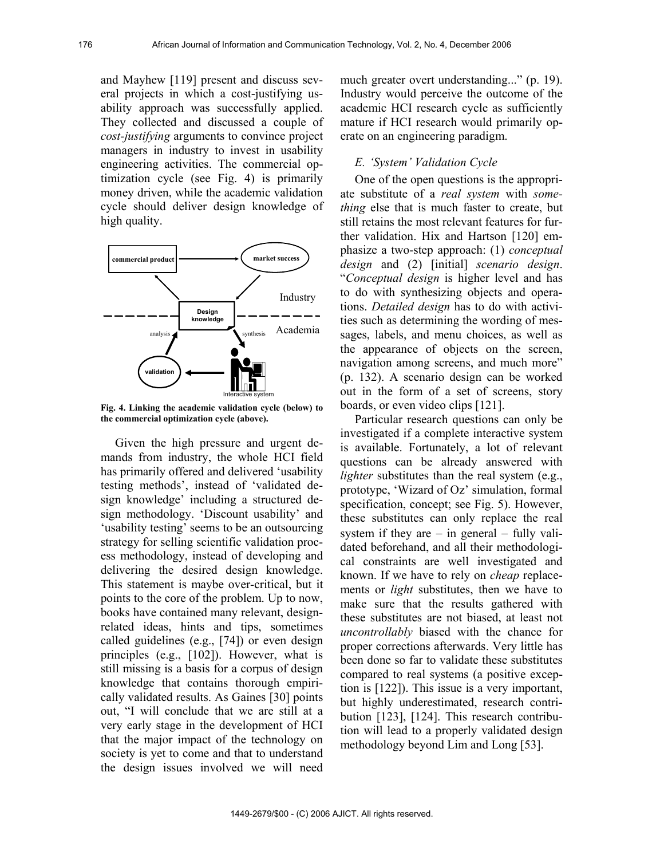and Mayhew [119] present and discuss several projects in which a cost-justifying usability approach was successfully applied. They collected and discussed a couple of *cost-justifying* arguments to convince project managers in industry to invest in usability engineering activities. The commercial optimization cycle (see Fig. 4) is primarily money driven, while the academic validation cycle should deliver design knowledge of high quality.



**Fig. 4. Linking the academic validation cycle (below) to the commercial optimization cycle (above).** 

Given the high pressure and urgent demands from industry, the whole HCI field has primarily offered and delivered 'usability testing methods', instead of 'validated design knowledge' including a structured design methodology. 'Discount usability' and 'usability testing' seems to be an outsourcing strategy for selling scientific validation process methodology, instead of developing and delivering the desired design knowledge. This statement is maybe over-critical, but it points to the core of the problem. Up to now, books have contained many relevant, designrelated ideas, hints and tips, sometimes called guidelines (e.g., [74]) or even design principles (e.g., [102]). However, what is still missing is a basis for a corpus of design knowledge that contains thorough empirically validated results. As Gaines [30] points out, "I will conclude that we are still at a very early stage in the development of HCI that the major impact of the technology on society is yet to come and that to understand the design issues involved we will need

much greater overt understanding..." (p. 19). Industry would perceive the outcome of the academic HCI research cycle as sufficiently mature if HCI research would primarily operate on an engineering paradigm.

#### *E. 'System' Validation Cycle*

One of the open questions is the appropriate substitute of a *real system* with *something* else that is much faster to create, but still retains the most relevant features for further validation. Hix and Hartson [120] emphasize a two-step approach: (1) *conceptual design* and (2) [initial] *scenario design*. "*Conceptual design* is higher level and has to do with synthesizing objects and operations. *Detailed design* has to do with activities such as determining the wording of messages, labels, and menu choices, as well as the appearance of objects on the screen, navigation among screens, and much more" (p. 132). A scenario design can be worked out in the form of a set of screens, story boards, or even video clips [121].

Particular research questions can only be investigated if a complete interactive system is available. Fortunately, a lot of relevant questions can be already answered with *lighter* substitutes than the real system (e.g., prototype, 'Wizard of Oz' simulation, formal specification, concept; see Fig. 5). However, these substitutes can only replace the real system if they are  $-$  in general  $-$  fully validated beforehand, and all their methodological constraints are well investigated and known. If we have to rely on *cheap* replacements or *light* substitutes, then we have to make sure that the results gathered with these substitutes are not biased, at least not *uncontrollably* biased with the chance for proper corrections afterwards. Very little has been done so far to validate these substitutes compared to real systems (a positive exception is [122]). This issue is a very important, but highly underestimated, research contribution [123], [124]. This research contribution will lead to a properly validated design methodology beyond Lim and Long [53].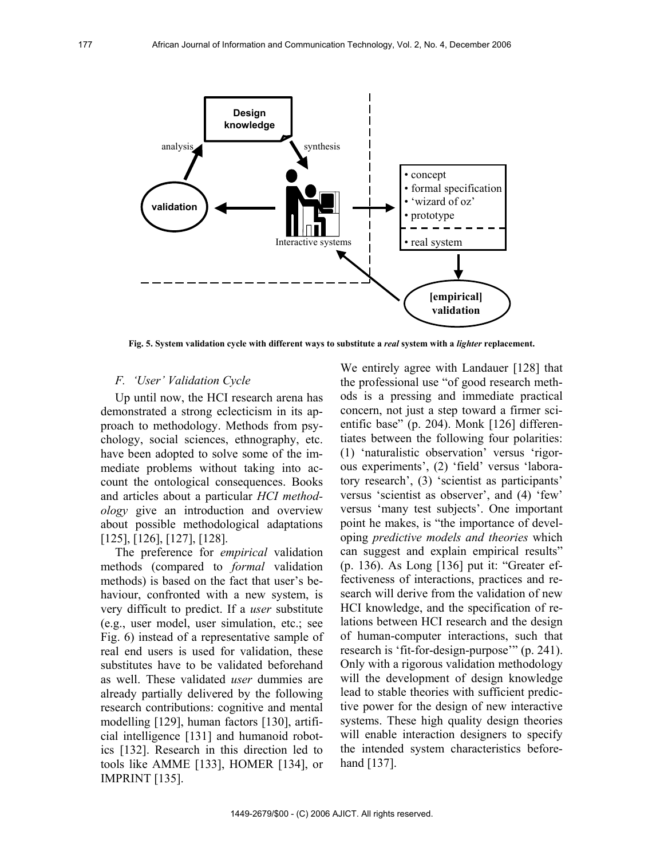

**Fig. 5. System validation cycle with different ways to substitute a** *real* **system with a** *lighter* **replacement.** 

#### *F. 'User' Validation Cycle*

Up until now, the HCI research arena has demonstrated a strong eclecticism in its approach to methodology. Methods from psychology, social sciences, ethnography, etc. have been adopted to solve some of the immediate problems without taking into account the ontological consequences. Books and articles about a particular *HCI methodology* give an introduction and overview about possible methodological adaptations [125], [126], [127], [128].

The preference for *empirical* validation methods (compared to *formal* validation methods) is based on the fact that user's behaviour, confronted with a new system, is very difficult to predict. If a *user* substitute (e.g., user model, user simulation, etc.; see Fig. 6) instead of a representative sample of real end users is used for validation, these substitutes have to be validated beforehand as well. These validated *user* dummies are already partially delivered by the following research contributions: cognitive and mental modelling [129], human factors [130], artificial intelligence [131] and humanoid robotics [132]. Research in this direction led to tools like AMME [133], HOMER [134], or IMPRINT [135].

We entirely agree with Landauer [128] that the professional use "of good research methods is a pressing and immediate practical concern, not just a step toward a firmer scientific base" (p. 204). Monk [126] differentiates between the following four polarities: (1) 'naturalistic observation' versus 'rigorous experiments', (2) 'field' versus 'laboratory research', (3) 'scientist as participants' versus 'scientist as observer', and (4) 'few' versus 'many test subjects'. One important point he makes, is "the importance of developing *predictive models and theories* which can suggest and explain empirical results" (p. 136). As Long [136] put it: "Greater effectiveness of interactions, practices and research will derive from the validation of new HCI knowledge, and the specification of relations between HCI research and the design of human-computer interactions, such that research is 'fit-for-design-purpose'" (p. 241). Only with a rigorous validation methodology will the development of design knowledge lead to stable theories with sufficient predictive power for the design of new interactive systems. These high quality design theories will enable interaction designers to specify the intended system characteristics beforehand [137].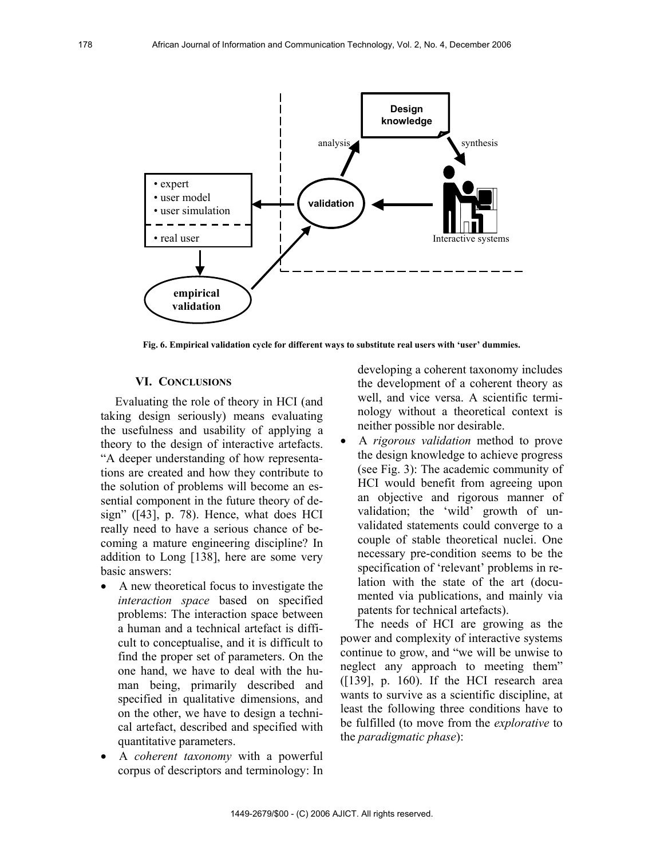

**Fig. 6. Empirical validation cycle for different ways to substitute real users with 'user' dummies.** 

## **VI. CONCLUSIONS**

Evaluating the role of theory in HCI (and taking design seriously) means evaluating the usefulness and usability of applying a theory to the design of interactive artefacts. "A deeper understanding of how representations are created and how they contribute to the solution of problems will become an essential component in the future theory of design" ([43], p. 78). Hence, what does HCI really need to have a serious chance of becoming a mature engineering discipline? In addition to Long [138], here are some very basic answers:

- A new theoretical focus to investigate the *interaction space* based on specified problems: The interaction space between a human and a technical artefact is difficult to conceptualise, and it is difficult to find the proper set of parameters. On the one hand, we have to deal with the human being, primarily described and specified in qualitative dimensions, and on the other, we have to design a technical artefact, described and specified with quantitative parameters.
- A *coherent taxonomy* with a powerful corpus of descriptors and terminology: In

developing a coherent taxonomy includes the development of a coherent theory as well, and vice versa. A scientific terminology without a theoretical context is neither possible nor desirable.

• A *rigorous validation* method to prove the design knowledge to achieve progress (see Fig. 3): The academic community of HCI would benefit from agreeing upon an objective and rigorous manner of validation; the 'wild' growth of unvalidated statements could converge to a couple of stable theoretical nuclei. One necessary pre-condition seems to be the specification of 'relevant' problems in relation with the state of the art (documented via publications, and mainly via patents for technical artefacts).

The needs of HCI are growing as the power and complexity of interactive systems continue to grow, and "we will be unwise to neglect any approach to meeting them"  $(139)$ , p. 160). If the HCI research area wants to survive as a scientific discipline, at least the following three conditions have to be fulfilled (to move from the *explorative* to the *paradigmatic phase*):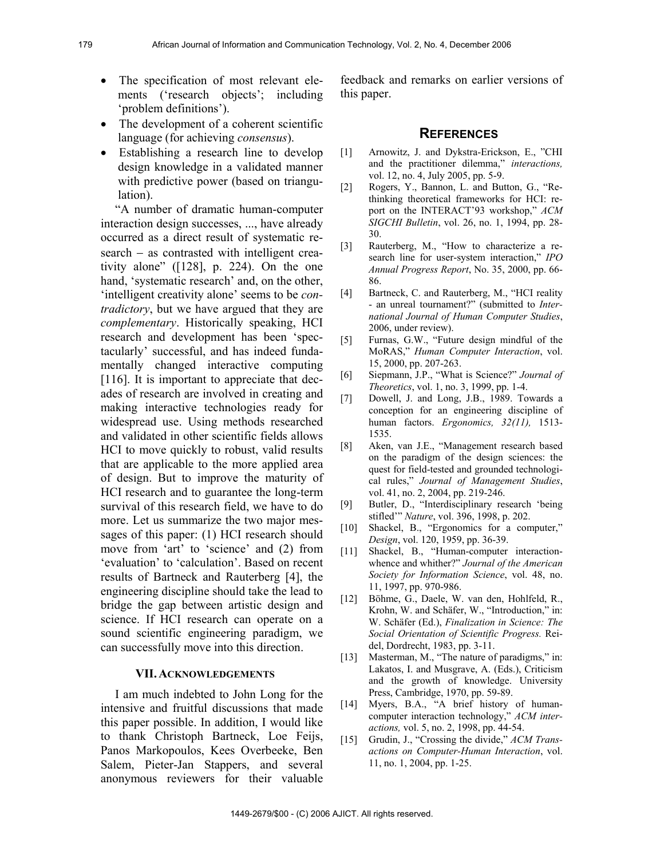- The specification of most relevant elements ('research objects'; including 'problem definitions').
- The development of a coherent scientific language (for achieving *consensus*).
- Establishing a research line to develop design knowledge in a validated manner with predictive power (based on triangulation).

"A number of dramatic human-computer interaction design successes, ..., have already occurred as a direct result of systematic research – as contrasted with intelligent creativity alone"  $(128)$ , p. 224). On the one hand, 'systematic research' and, on the other, 'intelligent creativity alone' seems to be *contradictory*, but we have argued that they are *complementary*. Historically speaking, HCI research and development has been 'spectacularly' successful, and has indeed fundamentally changed interactive computing [116]. It is important to appreciate that decades of research are involved in creating and making interactive technologies ready for widespread use. Using methods researched and validated in other scientific fields allows HCI to move quickly to robust, valid results that are applicable to the more applied area of design. But to improve the maturity of HCI research and to guarantee the long-term survival of this research field, we have to do more. Let us summarize the two major messages of this paper: (1) HCI research should move from 'art' to 'science' and (2) from 'evaluation' to 'calculation'. Based on recent results of Bartneck and Rauterberg [4], the engineering discipline should take the lead to bridge the gap between artistic design and science. If HCI research can operate on a sound scientific engineering paradigm, we can successfully move into this direction.

## **VII.ACKNOWLEDGEMENTS**

I am much indebted to John Long for the intensive and fruitful discussions that made this paper possible. In addition, I would like to thank Christoph Bartneck, Loe Feijs, Panos Markopoulos, Kees Overbeeke, Ben Salem, Pieter-Jan Stappers, and several anonymous reviewers for their valuable

feedback and remarks on earlier versions of this paper.

#### **REFERENCES**

- [1] Arnowitz, J. and Dykstra-Erickson, E., "CHI and the practitioner dilemma," *interactions,* vol. 12, no. 4, July 2005, pp. 5-9.
- [2] Rogers, Y., Bannon, L. and Button, G., "Rethinking theoretical frameworks for HCI: report on the INTERACT'93 workshop," *ACM SIGCHI Bulletin*, vol. 26, no. 1, 1994, pp. 28- 30.
- [3] Rauterberg, M., "How to characterize a research line for user-system interaction," *IPO Annual Progress Report*, No. 35, 2000, pp. 66- 86.
- [4] Bartneck, C. and Rauterberg, M., "HCI reality - an unreal tournament?" (submitted to *International Journal of Human Computer Studies*, 2006, under review).
- [5] Furnas, G.W., "Future design mindful of the MoRAS," *Human Computer Interaction*, vol. 15, 2000, pp. 207-263.
- [6] Siepmann, J.P., "What is Science?" *Journal of Theoretics*, vol. 1, no. 3, 1999, pp. 1-4.
- [7] Dowell, J. and Long, J.B., 1989. Towards a conception for an engineering discipline of human factors. *Ergonomics, 32(11),* 1513- 1535.
- [8] Aken, van J.E., "Management research based on the paradigm of the design sciences: the quest for field-tested and grounded technological rules," *Journal of Management Studies*, vol. 41, no. 2, 2004, pp. 219-246.
- [9] Butler, D., "Interdisciplinary research 'being stifled'" *Nature*, vol. 396, 1998, p. 202.
- [10] Shackel, B., "Ergonomics for a computer," *Design*, vol. 120, 1959, pp. 36-39.
- [11] Shackel, B., "Human-computer interactionwhence and whither?" *Journal of the American Society for Information Science*, vol. 48, no. 11, 1997, pp. 970-986.
- [12] Böhme, G., Daele, W. van den, Hohlfeld, R., Krohn, W. and Schäfer, W., "Introduction," in: W. Schäfer (Ed.), *Finalization in Science: The Social Orientation of Scientific Progress.* Reidel, Dordrecht, 1983, pp. 3-11.
- [13] Masterman, M., "The nature of paradigms," in: Lakatos, I. and Musgrave, A. (Eds.), Criticism and the growth of knowledge. University Press, Cambridge, 1970, pp. 59-89.
- [14] Myers, B.A., "A brief history of humancomputer interaction technology," *ACM interactions,* vol. 5, no. 2, 1998, pp. 44-54.
- [15] Grudin, J., "Crossing the divide," *ACM Transactions on Computer-Human Interaction*, vol. 11, no. 1, 2004, pp. 1-25.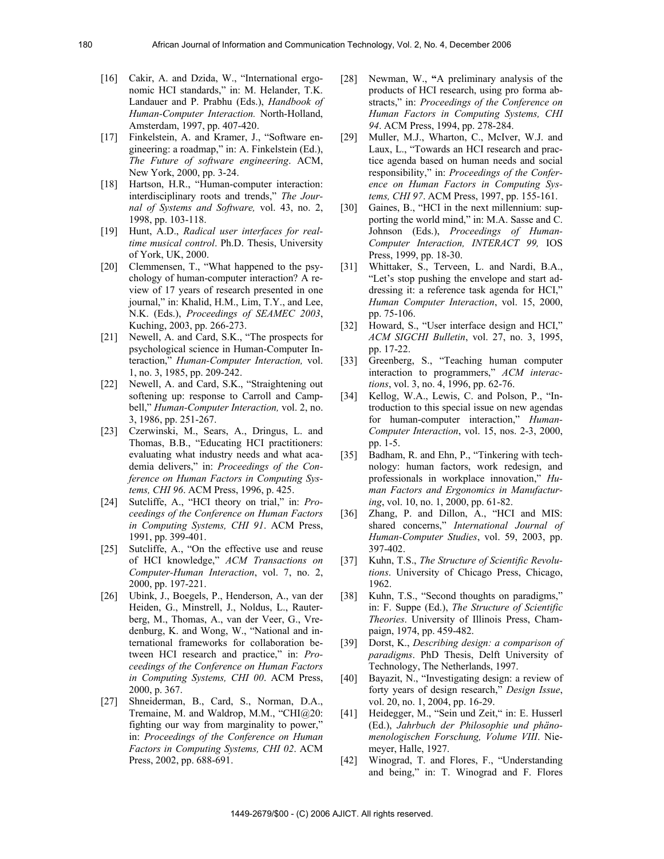- [16] Cakir, A. and Dzida, W., "International ergonomic HCI standards," in: M. Helander, T.K. Landauer and P. Prabhu (Eds.), *Handbook of Human-Computer Interaction.* North-Holland, Amsterdam, 1997, pp. 407-420.
- [17] Finkelstein, A. and Kramer, J., "Software engineering: a roadmap," in: A. Finkelstein (Ed.), *The Future of software engineering*. ACM, New York, 2000, pp. 3-24.
- [18] Hartson, H.R., "Human-computer interaction: interdisciplinary roots and trends," *The Journal of Systems and Software,* vol. 43, no. 2, 1998, pp. 103-118.
- [19] Hunt, A.D., *Radical user interfaces for realtime musical control*. Ph.D. Thesis, University of York, UK, 2000.
- [20] Clemmensen, T., "What happened to the psychology of human-computer interaction? A review of 17 years of research presented in one journal," in: Khalid, H.M., Lim, T.Y., and Lee, N.K. (Eds.), *Proceedings of SEAMEC 2003*, Kuching, 2003, pp. 266-273.
- [21] Newell, A. and Card, S.K., "The prospects for psychological science in Human-Computer Interaction," *Human-Computer Interaction,* vol. 1, no. 3, 1985, pp. 209-242.
- [22] Newell, A. and Card, S.K., "Straightening out softening up: response to Carroll and Campbell," *Human-Computer Interaction,* vol. 2, no. 3, 1986, pp. 251-267.
- [23] Czerwinski, M., Sears, A., Dringus, L. and Thomas, B.B., "Educating HCI practitioners: evaluating what industry needs and what academia delivers," in: *Proceedings of the Conference on Human Factors in Computing Systems, CHI 96*. ACM Press, 1996, p. 425.
- [24] Sutcliffe, A., "HCI theory on trial," in: *Proceedings of the Conference on Human Factors in Computing Systems, CHI 91*. ACM Press, 1991, pp. 399-401.
- [25] Sutcliffe, A., "On the effective use and reuse of HCI knowledge," *ACM Transactions on Computer-Human Interaction*, vol. 7, no. 2, 2000, pp. 197-221.
- [26] Ubink, J., Boegels, P., Henderson, A., van der Heiden, G., Minstrell, J., Noldus, L., Rauterberg, M., Thomas, A., van der Veer, G., Vredenburg, K. and Wong, W., "National and international frameworks for collaboration between HCI research and practice," in: *Proceedings of the Conference on Human Factors in Computing Systems, CHI 00*. ACM Press, 2000, p. 367.
- [27] Shneiderman, B., Card, S., Norman, D.A., Tremaine, M. and Waldrop, M.M., "CHI@20: fighting our way from marginality to power," in: *Proceedings of the Conference on Human Factors in Computing Systems, CHI 02*. ACM Press, 2002, pp. 688-691.
- [28] Newman, W., **"**A preliminary analysis of the products of HCI research, using pro forma abstracts," in: *Proceedings of the Conference on Human Factors in Computing Systems, CHI 94*. ACM Press, 1994, pp. 278-284.
- [29] Muller, M.J., Wharton, C., McIver, W.J. and Laux, L., "Towards an HCI research and practice agenda based on human needs and social responsibility," in: *Proceedings of the Conference on Human Factors in Computing Systems, CHI 97*. ACM Press, 1997, pp. 155-161.
- [30] Gaines, B., "HCI in the next millennium: supporting the world mind," in: M.A. Sasse and C. Johnson (Eds.), *Proceedings of Human-Computer Interaction, INTERACT 99,* IOS Press, 1999, pp. 18-30.
- [31] Whittaker, S., Terveen, L. and Nardi, B.A., "Let's stop pushing the envelope and start addressing it: a reference task agenda for HCI," *Human Computer Interaction*, vol. 15, 2000, pp. 75-106.
- [32] Howard, S., "User interface design and HCI," *ACM SIGCHI Bulletin*, vol. 27, no. 3, 1995, pp. 17-22.
- [33] Greenberg, S., "Teaching human computer interaction to programmers," *ACM interactions*, vol. 3, no. 4, 1996, pp. 62-76.
- [34] Kellog, W.A., Lewis, C. and Polson, P., "Introduction to this special issue on new agendas for human-computer interaction," *Human-Computer Interaction*, vol. 15, nos. 2-3, 2000, pp. 1-5.
- [35] Badham, R. and Ehn, P., "Tinkering with technology: human factors, work redesign, and professionals in workplace innovation," *Human Factors and Ergonomics in Manufacturing*, vol. 10, no. 1, 2000, pp. 61-82.
- [36] Zhang, P. and Dillon, A., "HCI and MIS: shared concerns," *International Journal of Human-Computer Studies*, vol. 59, 2003, pp. 397-402.
- [37] Kuhn, T.S., *The Structure of Scientific Revolutions*. University of Chicago Press, Chicago, 1962.
- [38] Kuhn, T.S., "Second thoughts on paradigms," in: F. Suppe (Ed.), *The Structure of Scientific Theories*. University of Illinois Press, Champaign, 1974, pp. 459-482.
- [39] Dorst, K., *Describing design: a comparison of paradigms*. PhD Thesis, Delft University of Technology, The Netherlands, 1997.
- [40] Bayazit, N., "Investigating design: a review of forty years of design research," *Design Issue*, vol. 20, no. 1, 2004, pp. 16-29.
- [41] Heidegger, M., "Sein und Zeit," in: E. Husserl (Ed.), *Jahrbuch der Philosophie und phänomenologischen Forschung, Volume VIII*. Niemeyer, Halle, 1927.
- [42] Winograd, T. and Flores, F., "Understanding and being," in: T. Winograd and F. Flores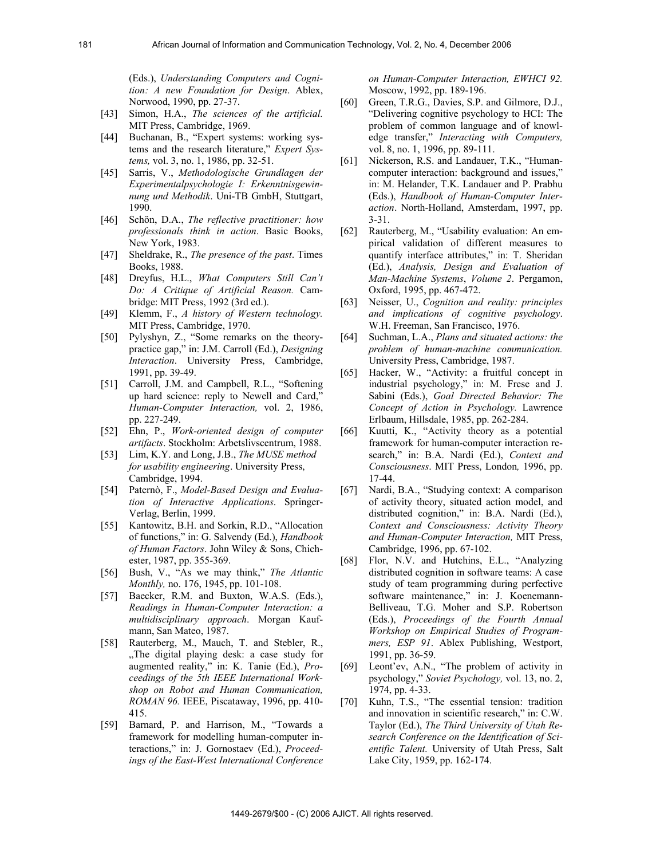(Eds.), *Understanding Computers and Cognition: A new Foundation for Design*. Ablex, Norwood, 1990, pp. 27-37.

- [43] Simon, H.A., *The sciences of the artificial.* MIT Press, Cambridge, 1969.
- [44] Buchanan, B., "Expert systems: working systems and the research literature," *Expert Systems,* vol. 3, no. 1, 1986, pp. 32-51.
- [45] Sarris, V., *Methodologische Grundlagen der Experimentalpsychologie I: Erkenntnisgewinnung und Methodik*. Uni-TB GmbH, Stuttgart, 1990.
- [46] Schön, D.A., *The reflective practitioner: how professionals think in action*. Basic Books, New York, 1983.
- [47] Sheldrake, R., *The presence of the past*. Times Books, 1988.
- [48] Dreyfus, H.L., *What Computers Still Can't Do: A Critique of Artificial Reason.* Cambridge: MIT Press, 1992 (3rd ed.).
- [49] Klemm, F., *A history of Western technology.* MIT Press, Cambridge, 1970.
- [50] Pylyshyn, Z., "Some remarks on the theorypractice gap," in: J.M. Carroll (Ed.), *Designing Interaction*. University Press, Cambridge, 1991, pp. 39-49.
- [51] Carroll, J.M. and Campbell, R.L., "Softening up hard science: reply to Newell and Card," *Human-Computer Interaction,* vol. 2, 1986, pp. 227-249.
- [52] Ehn, P., *Work-oriented design of computer artifacts*. Stockholm: Arbetslivscentrum, 1988.
- [53] Lim, K.Y. and Long, J.B., *The MUSE method for usability engineering*. University Press, Cambridge, 1994.
- [54] Paternò, F., *Model-Based Design and Evaluation of Interactive Applications*. Springer-Verlag, Berlin, 1999.
- [55] Kantowitz, B.H. and Sorkin, R.D., "Allocation of functions," in: G. Salvendy (Ed.), *Handbook of Human Factors*. John Wiley & Sons, Chichester, 1987, pp. 355-369.
- [56] Bush, V., "As we may think," *The Atlantic Monthly,* no. 176, 1945, pp. 101-108.
- [57] Baecker, R.M. and Buxton, W.A.S. (Eds.), *Readings in Human-Computer Interaction: a multidisciplinary approach*. Morgan Kaufmann, San Mateo, 1987.
- [58] Rauterberg, M., Mauch, T. and Stebler, R., "The digital playing desk: a case study for augmented reality," in: K. Tanie (Ed.), *Proceedings of the 5th IEEE International Workshop on Robot and Human Communication, ROMAN 96.* IEEE, Piscataway, 1996, pp. 410- 415.
- [59] Barnard, P. and Harrison, M., "Towards a framework for modelling human-computer interactions," in: J. Gornostaev (Ed.), *Proceedings of the East-West International Conference*

*on Human-Computer Interaction, EWHCI 92.* Moscow, 1992, pp. 189-196.

- [60] Green, T.R.G., Davies, S.P. and Gilmore, D.J., "Delivering cognitive psychology to HCI: The problem of common language and of knowledge transfer," *Interacting with Computers,*  vol. 8, no. 1, 1996, pp. 89-111.
- [61] Nickerson, R.S. and Landauer, T.K., "Humancomputer interaction: background and issues," in: M. Helander, T.K. Landauer and P. Prabhu (Eds.), *Handbook of Human-Computer Interaction*. North-Holland, Amsterdam, 1997, pp. 3-31.
- [62] Rauterberg, M., "Usability evaluation: An empirical validation of different measures to quantify interface attributes," in: T. Sheridan (Ed.), *Analysis, Design and Evaluation of Man-Machine Systems*, *Volume 2*. Pergamon, Oxford, 1995, pp. 467-472.
- [63] Neisser, U., *Cognition and reality: principles and implications of cognitive psychology*. W.H. Freeman, San Francisco, 1976.
- [64] Suchman, L.A., *Plans and situated actions: the problem of human-machine communication.* University Press, Cambridge, 1987.
- [65] Hacker, W., "Activity: a fruitful concept in industrial psychology," in: M. Frese and J. Sabini (Eds.), *Goal Directed Behavior: The Concept of Action in Psychology.* Lawrence Erlbaum, Hillsdale, 1985, pp. 262-284.
- [66] Kuutti, K., "Activity theory as a potential framework for human-computer interaction research," in: B.A. Nardi (Ed.), *Context and Consciousness*. MIT Press, London*,* 1996, pp. 17-44.
- [67] Nardi, B.A., "Studying context: A comparison of activity theory, situated action model, and distributed cognition," in: B.A. Nardi (Ed.), *Context and Consciousness: Activity Theory and Human-Computer Interaction,* MIT Press, Cambridge, 1996, pp. 67-102.
- [68] Flor, N.V. and Hutchins, E.L., "Analyzing distributed cognition in software teams: A case study of team programming during perfective software maintenance," in: J. Koenemann-Belliveau, T.G. Moher and S.P. Robertson (Eds.), *Proceedings of the Fourth Annual Workshop on Empirical Studies of Programmers, ESP 91*. Ablex Publishing, Westport, 1991, pp. 36-59.
- [69] Leont'ev, A.N., "The problem of activity in psychology," *Soviet Psychology,* vol. 13, no. 2, 1974, pp. 4-33.
- [70] Kuhn, T.S., "The essential tension: tradition and innovation in scientific research," in: C.W. Taylor (Ed.), *The Third University of Utah Research Conference on the Identification of Scientific Talent.* University of Utah Press, Salt Lake City, 1959, pp. 162-174.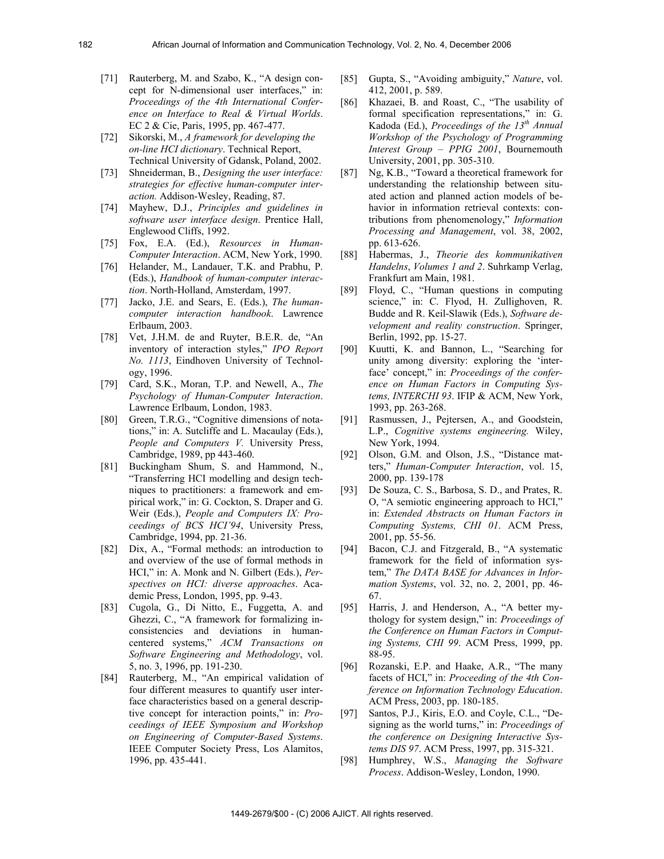- [71] Rauterberg, M. and Szabo, K., "A design concept for N-dimensional user interfaces," in: *Proceedings of the 4th International Conference on Interface to Real & Virtual Worlds*. EC 2 & Cie, Paris, 1995, pp. 467-477.
- [72] Sikorski, M., *A framework for developing the on-line HCI dictionary*. Technical Report, Technical University of Gdansk, Poland, 2002.
- [73] Shneiderman, B., *Designing the user interface: strategies for effective human-computer interaction.* Addison-Wesley, Reading, 87.
- [74] Mayhew, D.J., *Principles and guidelines in software user interface design*. Prentice Hall, Englewood Cliffs, 1992.
- [75] Fox, E.A. (Ed.), *Resources in Human-Computer Interaction*. ACM, New York, 1990.
- [76] Helander, M., Landauer, T.K. and Prabhu, P. (Eds.), *Handbook of human-computer interaction*. North-Holland, Amsterdam, 1997.
- [77] Jacko, J.E. and Sears, E. (Eds.), *The humancomputer interaction handbook*. Lawrence Erlbaum, 2003.
- [78] Vet, J.H.M. de and Ruyter, B.E.R. de, "An inventory of interaction styles," *IPO Report No. 1113*, Eindhoven University of Technology, 1996.
- [79] Card, S.K., Moran, T.P. and Newell, A., *The Psychology of Human-Computer Interaction*. Lawrence Erlbaum, London, 1983.
- [80] Green, T.R.G., "Cognitive dimensions of notations," in: A. Sutcliffe and L. Macaulay (Eds.), *People and Computers V.* University Press, Cambridge, 1989, pp 443-460.
- [81] Buckingham Shum, S. and Hammond, N., "Transferring HCI modelling and design techniques to practitioners: a framework and empirical work," in: G. Cockton, S. Draper and G. Weir (Eds.), *People and Computers IX: Proceedings of BCS HCI'94*, University Press, Cambridge, 1994, pp. 21-36.
- [82] Dix, A., "Formal methods: an introduction to and overview of the use of formal methods in HCI," in: A. Monk and N. Gilbert (Eds.), *Perspectives on HCI: diverse approaches*. Academic Press, London, 1995, pp. 9-43.
- [83] Cugola, G., Di Nitto, E., Fuggetta, A. and Ghezzi, C., "A framework for formalizing inconsistencies and deviations in humancentered systems," *ACM Transactions on Software Engineering and Methodology*, vol. 5, no. 3, 1996, pp. 191-230.
- [84] Rauterberg, M., "An empirical validation of four different measures to quantify user interface characteristics based on a general descriptive concept for interaction points," in: *Proceedings of IEEE Symposium and Workshop on Engineering of Computer-Based Systems*. IEEE Computer Society Press, Los Alamitos, 1996, pp. 435-441.
- [85] Gupta, S., "Avoiding ambiguity," *Nature*, vol. 412, 2001, p. 589.
- [86] Khazaei, B. and Roast, C., "The usability of formal specification representations," in: G. Kadoda (Ed.), *Proceedings of the 13th Annual Workshop of the Psychology of Programming Interest Group – PPIG 2001*, Bournemouth University, 2001, pp. 305-310.
- [87] Ng, K.B., "Toward a theoretical framework for understanding the relationship between situated action and planned action models of behavior in information retrieval contexts: contributions from phenomenology," *Information Processing and Management*, vol. 38, 2002, pp. 613-626.
- [88] Habermas, J., *Theorie des kommunikativen Handelns*, *Volumes 1 and 2*. Suhrkamp Verlag, Frankfurt am Main, 1981.
- [89] Floyd, C., "Human questions in computing science," in: C. Flyod, H. Zullighoven, R. Budde and R. Keil-Slawik (Eds.), *Software development and reality construction*. Springer, Berlin, 1992, pp. 15-27.
- [90] Kuutti, K. and Bannon, L., "Searching for unity among diversity: exploring the 'interface' concept," in: *Proceedings of the conference on Human Factors in Computing Systems, INTERCHI 93*. IFIP & ACM, New York, 1993, pp. 263-268.
- [91] Rasmussen, J., Pejtersen, A., and Goodstein, L.P., *Cognitive systems engineering.* Wiley, New York, 1994.
- [92] Olson, G.M. and Olson, J.S., "Distance matters," *Human-Computer Interaction*, vol. 15, 2000, pp. 139-178
- [93] De Souza, C. S., Barbosa, S. D., and Prates, R. O, "A semiotic engineering approach to HCI," in: *Extended Abstracts on Human Factors in Computing Systems, CHI 01*. ACM Press, 2001, pp. 55-56.
- [94] Bacon, C.J. and Fitzgerald, B., "A systematic framework for the field of information system," *The DATA BASE for Advances in Information Systems*, vol. 32, no. 2, 2001, pp. 46- 67.
- [95] Harris, J. and Henderson, A., "A better mythology for system design," in: *Proceedings of the Conference on Human Factors in Computing Systems, CHI 99*. ACM Press, 1999, pp. 88-95.
- [96] Rozanski, E.P. and Haake, A.R., "The many facets of HCI," in: *Proceeding of the 4th Conference on Information Technology Education*. ACM Press, 2003, pp. 180-185.
- [97] Santos, P.J., Kiris, E.O. and Coyle, C.L., "Designing as the world turns," in: *Proceedings of the conference on Designing Interactive Systems DIS 97*. ACM Press, 1997, pp. 315-321.
- [98] Humphrey, W.S., *Managing the Software Process*. Addison-Wesley, London, 1990.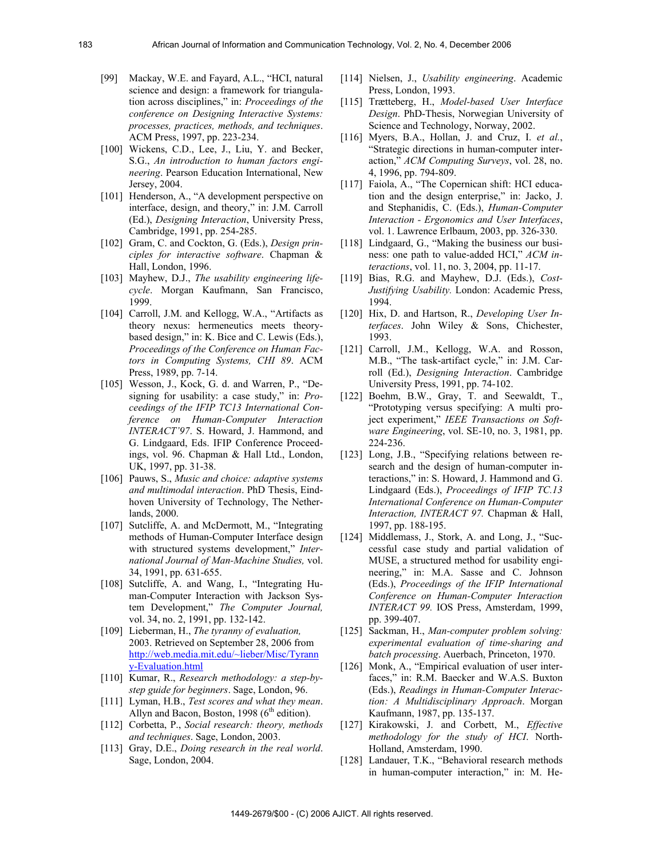- [99] Mackay, W.E. and Fayard, A.L., "HCI, natural science and design: a framework for triangulation across disciplines," in: *Proceedings of the conference on Designing Interactive Systems: processes, practices, methods, and techniques*. ACM Press, 1997, pp. 223-234.
- [100] Wickens, C.D., Lee, J., Liu, Y. and Becker, S.G., *An introduction to human factors engineering*. Pearson Education International, New Jersey, 2004.
- [101] Henderson, A., "A development perspective on interface, design, and theory," in: J.M. Carroll (Ed.), *Designing Interaction*, University Press, Cambridge, 1991, pp. 254-285.
- [102] Gram, C. and Cockton, G. (Eds.), *Design principles for interactive software*. Chapman & Hall, London, 1996.
- [103] Mayhew, D.J., *The usability engineering lifecycle*. Morgan Kaufmann, San Francisco, 1999.
- [104] Carroll, J.M. and Kellogg, W.A., "Artifacts as theory nexus: hermeneutics meets theorybased design," in: K. Bice and C. Lewis (Eds.), *Proceedings of the Conference on Human Factors in Computing Systems, CHI 89*. ACM Press, 1989, pp. 7-14.
- [105] Wesson, J., Kock, G. d. and Warren, P., "Designing for usability: a case study," in: *Proceedings of the IFIP TC13 International Conference on Human-Computer Interaction INTERACT'97*. S. Howard, J. Hammond, and G. Lindgaard, Eds. IFIP Conference Proceedings, vol. 96. Chapman & Hall Ltd., London, UK, 1997, pp. 31-38.
- [106] Pauws, S., *Music and choice: adaptive systems and multimodal interaction*. PhD Thesis, Eindhoven University of Technology, The Netherlands, 2000.
- [107] Sutcliffe, A. and McDermott, M., "Integrating methods of Human-Computer Interface design with structured systems development," *International Journal of Man-Machine Studies,* vol. 34, 1991, pp. 631-655.
- [108] Sutcliffe, A. and Wang, I., "Integrating Human-Computer Interaction with Jackson System Development," *The Computer Journal,* vol. 34, no. 2, 1991, pp. 132-142.
- [109] Lieberman, H., *The tyranny of evaluation,*  2003. Retrieved on September 28, 2006 from http://web.media.mit.edu/~lieber/Misc/Tyrann y-Evaluation.html
- [110] Kumar, R., *Research methodology: a step-bystep guide for beginners*. Sage, London, 96.
- [111] Lyman, H.B., *Test scores and what they mean*. Allyn and Bacon, Boston, 1998 ( $6<sup>th</sup>$  edition).
- [112] Corbetta, P., *Social research: theory, methods and techniques*. Sage, London, 2003.
- [113] Gray, D.E., *Doing research in the real world*. Sage, London, 2004.
- [114] Nielsen, J., *Usability engineering*. Academic Press, London, 1993.
- [115] Trætteberg, H., *Model-based User Interface Design*. PhD-Thesis, Norwegian University of Science and Technology, Norway, 2002.
- [116] Myers, B.A., Hollan, J. and Cruz, I. *et al.*, "Strategic directions in human-computer interaction," *ACM Computing Surveys*, vol. 28, no. 4, 1996, pp. 794-809.
- [117] Faiola, A., "The Copernican shift: HCI education and the design enterprise," in: Jacko, J. and Stephanidis, C. (Eds.), *Human-Computer Interaction - Ergonomics and User Interfaces*, vol. 1. Lawrence Erlbaum, 2003, pp. 326-330.
- [118] Lindgaard, G., "Making the business our business: one path to value-added HCI," *ACM interactions*, vol. 11, no. 3, 2004, pp. 11-17.
- [119] Bias, R.G. and Mayhew, D.J. (Eds.), *Cost-Justifying Usability.* London: Academic Press, 1994.
- [120] Hix, D. and Hartson, R., *Developing User Interfaces*. John Wiley & Sons, Chichester, 1993.
- [121] Carroll, J.M., Kellogg, W.A. and Rosson, M.B., "The task-artifact cycle," in: J.M. Carroll (Ed.), *Designing Interaction*. Cambridge University Press, 1991, pp. 74-102.
- [122] Boehm, B.W., Gray, T. and Seewaldt, T., "Prototyping versus specifying: A multi project experiment," *IEEE Transactions on Software Engineering*, vol. SE-10, no. 3, 1981, pp. 224-236.
- [123] Long, J.B., "Specifying relations between research and the design of human-computer interactions," in: S. Howard, J. Hammond and G. Lindgaard (Eds.), *Proceedings of IFIP TC.13 International Conference on Human-Computer Interaction, INTERACT 97.* Chapman & Hall, 1997, pp. 188-195.
- [124] Middlemass, J., Stork, A. and Long, J., "Successful case study and partial validation of MUSE, a structured method for usability engineering," in: M.A. Sasse and C. Johnson (Eds.), *Proceedings of the IFIP International Conference on Human-Computer Interaction INTERACT 99.* IOS Press, Amsterdam, 1999, pp. 399-407.
- [125] Sackman, H., *Man-computer problem solving: experimental evaluation of time-sharing and batch processing*. Auerbach, Princeton, 1970.
- [126] Monk, A., "Empirical evaluation of user interfaces," in: R.M. Baecker and W.A.S. Buxton (Eds.), *Readings in Human-Computer Interaction: A Multidisciplinary Approach*. Morgan Kaufmann, 1987, pp. 135-137.
- [127] Kirakowski, J. and Corbett, M., *Effective methodology for the study of HCI*. North-Holland, Amsterdam, 1990.
- [128] Landauer, T.K., "Behavioral research methods in human-computer interaction," in: M. He-